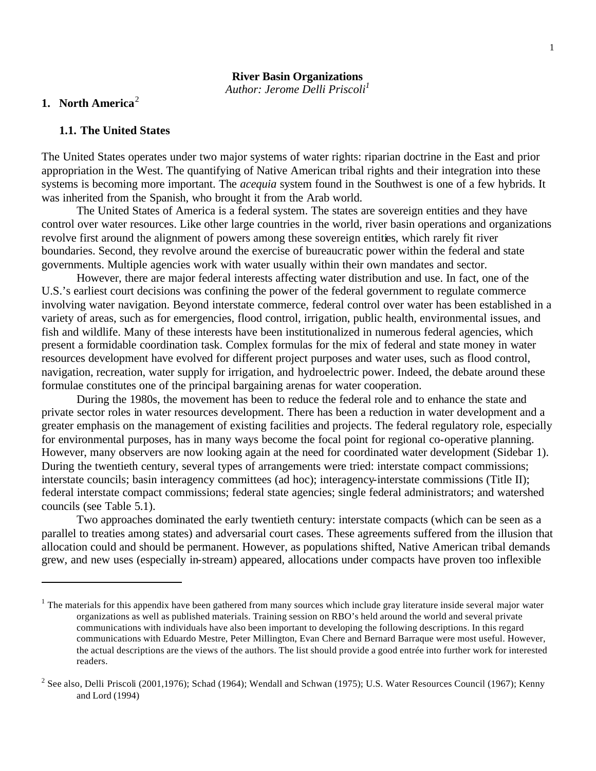#### **River Basin Organizations** *Author: Jerome Delli Priscoli<sup>1</sup>*

# **1. North America**<sup>2</sup>

 $\overline{a}$ 

### **1.1. The United States**

The United States operates under two major systems of water rights: riparian doctrine in the East and prior appropriation in the West. The quantifying of Native American tribal rights and their integration into these systems is becoming more important. The *acequia* system found in the Southwest is one of a few hybrids. It was inherited from the Spanish, who brought it from the Arab world.

The United States of America is a federal system. The states are sovereign entities and they have control over water resources. Like other large countries in the world, river basin operations and organizations revolve first around the alignment of powers among these sovereign entities, which rarely fit river boundaries. Second, they revolve around the exercise of bureaucratic power within the federal and state governments. Multiple agencies work with water usually within their own mandates and sector.

However, there are major federal interests affecting water distribution and use. In fact, one of the U.S.'s earliest court decisions was confining the power of the federal government to regulate commerce involving water navigation. Beyond interstate commerce, federal control over water has been established in a variety of areas, such as for emergencies, flood control, irrigation, public health, environmental issues, and fish and wildlife. Many of these interests have been institutionalized in numerous federal agencies, which present a formidable coordination task. Complex formulas for the mix of federal and state money in water resources development have evolved for different project purposes and water uses, such as flood control, navigation, recreation, water supply for irrigation, and hydroelectric power. Indeed, the debate around these formulae constitutes one of the principal bargaining arenas for water cooperation.

During the 1980s, the movement has been to reduce the federal role and to enhance the state and private sector roles in water resources development. There has been a reduction in water development and a greater emphasis on the management of existing facilities and projects. The federal regulatory role, especially for environmental purposes, has in many ways become the focal point for regional co-operative planning. However, many observers are now looking again at the need for coordinated water development (Sidebar 1). During the twentieth century, several types of arrangements were tried: interstate compact commissions; interstate councils; basin interagency committees (ad hoc); interagency-interstate commissions (Title II); federal interstate compact commissions; federal state agencies; single federal administrators; and watershed councils (see Table 5.1).

Two approaches dominated the early twentieth century: interstate compacts (which can be seen as a parallel to treaties among states) and adversarial court cases. These agreements suffered from the illusion that allocation could and should be permanent. However, as populations shifted, Native American tribal demands grew, and new uses (especially in-stream) appeared, allocations under compacts have proven too inflexible

<sup>&</sup>lt;sup>1</sup> The materials for this appendix have been gathered from many sources which include gray literature inside several major water organizations as well as published materials. Training session on RBO's held around the world and several private communications with individuals have also been important to developing the following descriptions. In this regard communications with Eduardo Mestre, Peter Millington, Evan Chere and Bernard Barraque were most useful. However, the actual descriptions are the views of the authors. The list should provide a good entrée into further work for interested readers.

<sup>&</sup>lt;sup>2</sup> See also, Delli Priscoli (2001,1976); Schad (1964); Wendall and Schwan (1975); U.S. Water Resources Council (1967); Kenny and Lord (1994)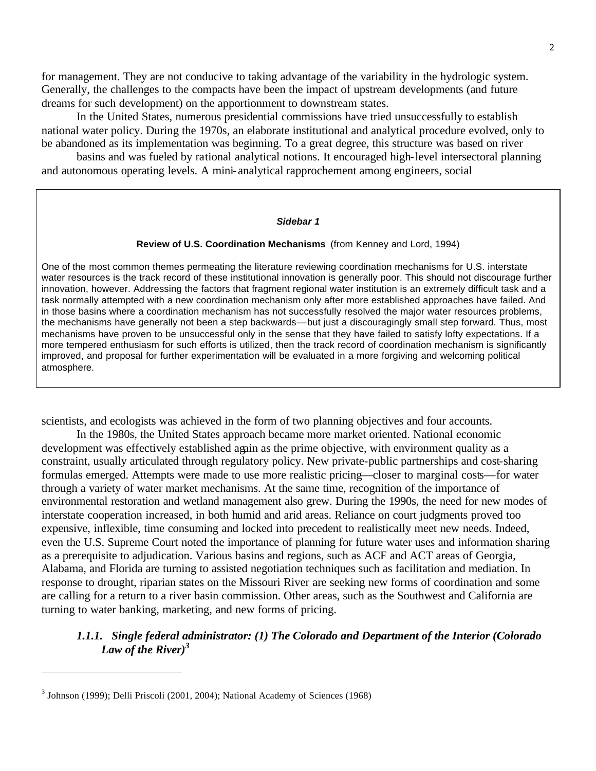for management. They are not conducive to taking advantage of the variability in the hydrologic system. Generally, the challenges to the compacts have been the impact of upstream developments (and future dreams for such development) on the apportionment to downstream states.

In the United States, numerous presidential commissions have tried unsuccessfully to establish national water policy. During the 1970s, an elaborate institutional and analytical procedure evolved, only to be abandoned as its implementation was beginning. To a great degree, this structure was based on river

basins and was fueled by rational analytical notions. It encouraged high-level intersectoral planning and autonomous operating levels. A mini-analytical rapprochement among engineers, social

#### *Sidebar 1*

#### **Review of U.S. Coordination Mechanisms** (from Kenney and Lord, 1994)

One of the most common themes permeating the literature reviewing coordination mechanisms for U.S. interstate water resources is the track record of these institutional innovation is generally poor. This should not discourage further innovation, however. Addressing the factors that fragment regional water institution is an extremely difficult task and a task normally attempted with a new coordination mechanism only after more established approaches have failed. And in those basins where a coordination mechanism has not successfully resolved the major water resources problems, the mechanisms have generally not been a step backwards—but just a discouragingly small step forward. Thus, most mechanisms have proven to be unsuccessful only in the sense that they have failed to satisfy lofty expectations. If a more tempered enthusiasm for such efforts is utilized, then the track record of coordination mechanism is significantly improved, and proposal for further experimentation will be evaluated in a more forgiving and welcoming political atmosphere.

scientists, and ecologists was achieved in the form of two planning objectives and four accounts.

In the 1980s, the United States approach became more market oriented. National economic development was effectively established again as the prime objective, with environment quality as a constraint, usually articulated through regulatory policy. New private-public partnerships and cost-sharing formulas emerged. Attempts were made to use more realistic pricing—closer to marginal costs—for water through a variety of water market mechanisms. At the same time, recognition of the importance of environmental restoration and wetland management also grew. During the 1990s, the need for new modes of interstate cooperation increased, in both humid and arid areas. Reliance on court judgments proved too expensive, inflexible, time consuming and locked into precedent to realistically meet new needs. Indeed, even the U.S. Supreme Court noted the importance of planning for future water uses and information sharing as a prerequisite to adjudication. Various basins and regions, such as ACF and ACT areas of Georgia, Alabama, and Florida are turning to assisted negotiation techniques such as facilitation and mediation. In response to drought, riparian states on the Missouri River are seeking new forms of coordination and some are calling for a return to a river basin commission. Other areas, such as the Southwest and California are turning to water banking, marketing, and new forms of pricing.

## *1.1.1. Single federal administrator: (1) The Colorado and Department of the Interior (Colorado Law of the River)<sup>3</sup>*

<sup>3</sup> Johnson (1999); Delli Priscoli (2001, 2004); National Academy of Sciences (1968)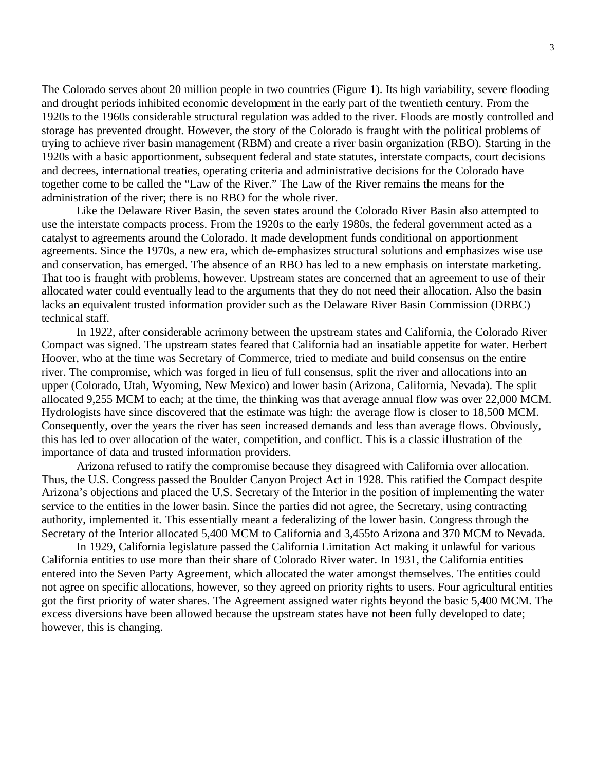The Colorado serves about 20 million people in two countries (Figure 1). Its high variability, severe flooding and drought periods inhibited economic development in the early part of the twentieth century. From the 1920s to the 1960s considerable structural regulation was added to the river. Floods are mostly controlled and storage has prevented drought. However, the story of the Colorado is fraught with the political problems of trying to achieve river basin management (RBM) and create a river basin organization (RBO). Starting in the 1920s with a basic apportionment, subsequent federal and state statutes, interstate compacts, court decisions and decrees, international treaties, operating criteria and administrative decisions for the Colorado have together come to be called the "Law of the River." The Law of the River remains the means for the administration of the river; there is no RBO for the whole river.

Like the Delaware River Basin, the seven states around the Colorado River Basin also attempted to use the interstate compacts process. From the 1920s to the early 1980s, the federal government acted as a catalyst to agreements around the Colorado. It made development funds conditional on apportionment agreements. Since the 1970s, a new era, which de-emphasizes structural solutions and emphasizes wise use and conservation, has emerged. The absence of an RBO has led to a new emphasis on interstate marketing. That too is fraught with problems, however. Upstream states are concerned that an agreement to use of their allocated water could eventually lead to the arguments that they do not need their allocation. Also the basin lacks an equivalent trusted information provider such as the Delaware River Basin Commission (DRBC) technical staff.

In 1922, after considerable acrimony between the upstream states and California, the Colorado River Compact was signed. The upstream states feared that California had an insatiable appetite for water. Herbert Hoover, who at the time was Secretary of Commerce, tried to mediate and build consensus on the entire river. The compromise, which was forged in lieu of full consensus, split the river and allocations into an upper (Colorado, Utah, Wyoming, New Mexico) and lower basin (Arizona, California, Nevada). The split allocated 9,255 MCM to each; at the time, the thinking was that average annual flow was over 22,000 MCM. Hydrologists have since discovered that the estimate was high: the average flow is closer to 18,500 MCM. Consequently, over the years the river has seen increased demands and less than average flows. Obviously, this has led to over allocation of the water, competition, and conflict. This is a classic illustration of the importance of data and trusted information providers.

Arizona refused to ratify the compromise because they disagreed with California over allocation. Thus, the U.S. Congress passed the Boulder Canyon Project Act in 1928. This ratified the Compact despite Arizona's objections and placed the U.S. Secretary of the Interior in the position of implementing the water service to the entities in the lower basin. Since the parties did not agree, the Secretary, using contracting authority, implemented it. This essentially meant a federalizing of the lower basin. Congress through the Secretary of the Interior allocated 5,400 MCM to California and 3,455to Arizona and 370 MCM to Nevada.

In 1929, California legislature passed the California Limitation Act making it unlawful for various California entities to use more than their share of Colorado River water. In 1931, the California entities entered into the Seven Party Agreement, which allocated the water amongst themselves. The entities could not agree on specific allocations, however, so they agreed on priority rights to users. Four agricultural entities got the first priority of water shares. The Agreement assigned water rights beyond the basic 5,400 MCM. The excess diversions have been allowed because the upstream states have not been fully developed to date; however, this is changing.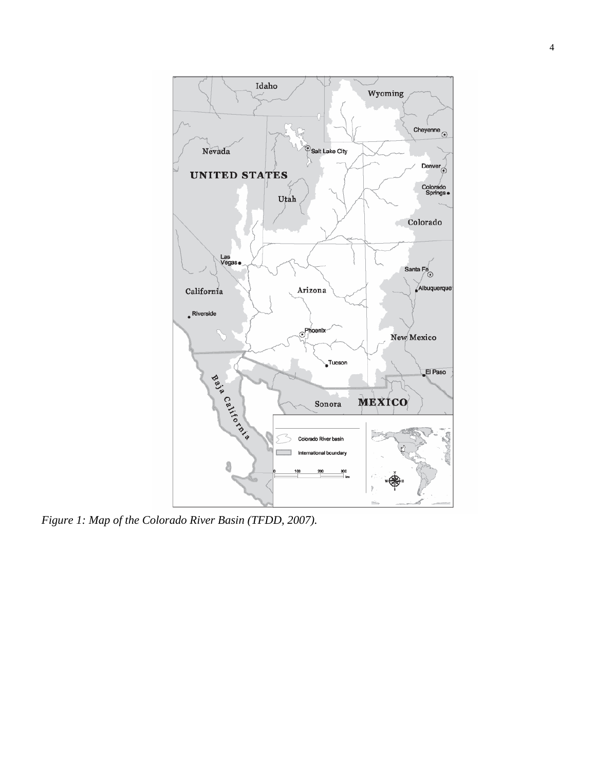

*Figure 1: Map of the Colorado River Basin (TFDD, 2007).*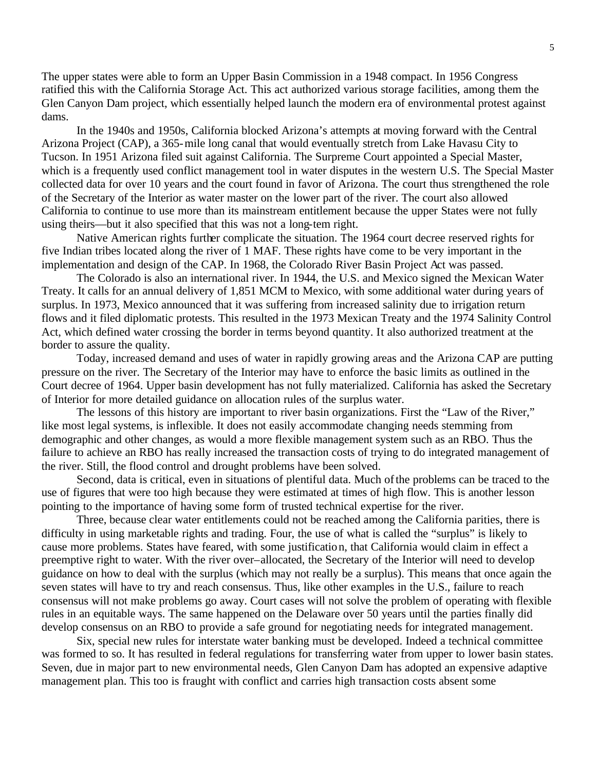The upper states were able to form an Upper Basin Commission in a 1948 compact. In 1956 Congress ratified this with the California Storage Act. This act authorized various storage facilities, among them the Glen Canyon Dam project, which essentially helped launch the modern era of environmental protest against dams.

In the 1940s and 1950s, California blocked Arizona's attempts at moving forward with the Central Arizona Project (CAP), a 365-mile long canal that would eventually stretch from Lake Havasu City to Tucson. In 1951 Arizona filed suit against California. The Surpreme Court appointed a Special Master, which is a frequently used conflict management tool in water disputes in the western U.S. The Special Master collected data for over 10 years and the court found in favor of Arizona. The court thus strengthened the role of the Secretary of the Interior as water master on the lower part of the river. The court also allowed California to continue to use more than its mainstream entitlement because the upper States were not fully using theirs—but it also specified that this was not a long-tem right.

Native American rights further complicate the situation. The 1964 court decree reserved rights for five Indian tribes located along the river of 1 MAF. These rights have come to be very important in the implementation and design of the CAP. In 1968, the Colorado River Basin Project Act was passed.

The Colorado is also an international river. In 1944, the U.S. and Mexico signed the Mexican Water Treaty. It calls for an annual delivery of 1,851 MCM to Mexico, with some additional water during years of surplus. In 1973, Mexico announced that it was suffering from increased salinity due to irrigation return flows and it filed diplomatic protests. This resulted in the 1973 Mexican Treaty and the 1974 Salinity Control Act, which defined water crossing the border in terms beyond quantity. It also authorized treatment at the border to assure the quality.

Today, increased demand and uses of water in rapidly growing areas and the Arizona CAP are putting pressure on the river. The Secretary of the Interior may have to enforce the basic limits as outlined in the Court decree of 1964. Upper basin development has not fully materialized. California has asked the Secretary of Interior for more detailed guidance on allocation rules of the surplus water.

The lessons of this history are important to river basin organizations. First the "Law of the River," like most legal systems, is inflexible. It does not easily accommodate changing needs stemming from demographic and other changes, as would a more flexible management system such as an RBO. Thus the failure to achieve an RBO has really increased the transaction costs of trying to do integrated management of the river. Still, the flood control and drought problems have been solved.

Second, data is critical, even in situations of plentiful data. Much of the problems can be traced to the use of figures that were too high because they were estimated at times of high flow. This is another lesson pointing to the importance of having some form of trusted technical expertise for the river.

Three, because clear water entitlements could not be reached among the California parities, there is difficulty in using marketable rights and trading. Four, the use of what is called the "surplus" is likely to cause more problems. States have feared, with some justification, that California would claim in effect a preemptive right to water. With the river over–allocated, the Secretary of the Interior will need to develop guidance on how to deal with the surplus (which may not really be a surplus). This means that once again the seven states will have to try and reach consensus. Thus, like other examples in the U.S., failure to reach consensus will not make problems go away. Court cases will not solve the problem of operating with flexible rules in an equitable ways. The same happened on the Delaware over 50 years until the parties finally did develop consensus on an RBO to provide a safe ground for negotiating needs for integrated management.

Six, special new rules for interstate water banking must be developed. Indeed a technical committee was formed to so. It has resulted in federal regulations for transferring water from upper to lower basin states. Seven, due in major part to new environmental needs, Glen Canyon Dam has adopted an expensive adaptive management plan. This too is fraught with conflict and carries high transaction costs absent some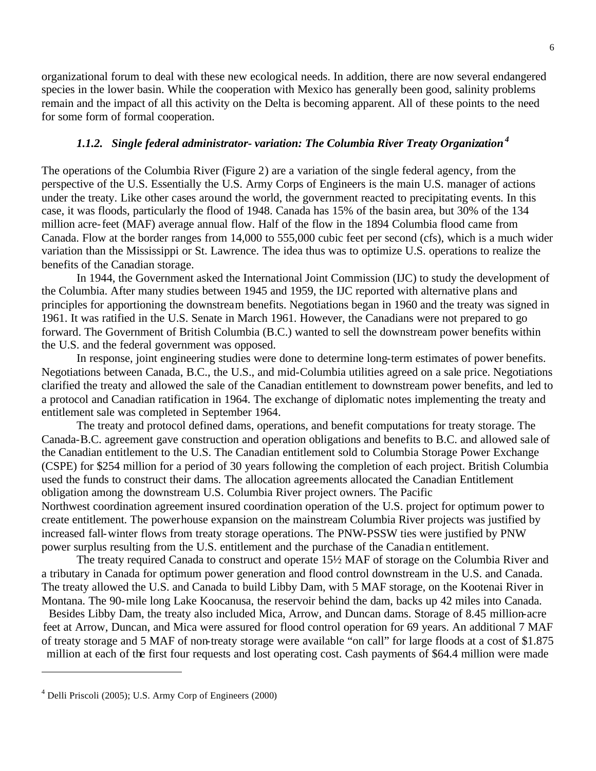organizational forum to deal with these new ecological needs. In addition, there are now several endangered species in the lower basin. While the cooperation with Mexico has generally been good, salinity problems remain and the impact of all this activity on the Delta is becoming apparent. All of these points to the need for some form of formal cooperation.

## *1.1.2. Single federal administrator- variation: The Columbia River Treaty Organization<sup>4</sup>*

The operations of the Columbia River (Figure 2) are a variation of the single federal agency, from the perspective of the U.S. Essentially the U.S. Army Corps of Engineers is the main U.S. manager of actions under the treaty. Like other cases around the world, the government reacted to precipitating events. In this case, it was floods, particularly the flood of 1948. Canada has 15% of the basin area, but 30% of the 134 million acre-feet (MAF) average annual flow. Half of the flow in the 1894 Columbia flood came from Canada. Flow at the border ranges from 14,000 to 555,000 cubic feet per second (cfs), which is a much wider variation than the Mississippi or St. Lawrence. The idea thus was to optimize U.S. operations to realize the benefits of the Canadian storage.

In 1944, the Government asked the International Joint Commission (IJC) to study the development of the Columbia. After many studies between 1945 and 1959, the IJC reported with alternative plans and principles for apportioning the downstream benefits. Negotiations began in 1960 and the treaty was signed in 1961. It was ratified in the U.S. Senate in March 1961. However, the Canadians were not prepared to go forward. The Government of British Columbia (B.C.) wanted to sell the downstream power benefits within the U.S. and the federal government was opposed.

In response, joint engineering studies were done to determine long-term estimates of power benefits. Negotiations between Canada, B.C., the U.S., and mid-Columbia utilities agreed on a sale price. Negotiations clarified the treaty and allowed the sale of the Canadian entitlement to downstream power benefits, and led to a protocol and Canadian ratification in 1964. The exchange of diplomatic notes implementing the treaty and entitlement sale was completed in September 1964.

The treaty and protocol defined dams, operations, and benefit computations for treaty storage. The Canada-B.C. agreement gave construction and operation obligations and benefits to B.C. and allowed sale of the Canadian entitlement to the U.S. The Canadian entitlement sold to Columbia Storage Power Exchange (CSPE) for \$254 million for a period of 30 years following the completion of each project. British Columbia used the funds to construct their dams. The allocation agreements allocated the Canadian Entitlement obligation among the downstream U.S. Columbia River project owners. The Pacific Northwest coordination agreement insured coordination operation of the U.S. project for optimum power to create entitlement. The powerhouse expansion on the mainstream Columbia River projects was justified by increased fall-winter flows from treaty storage operations. The PNW-PSSW ties were justified by PNW power surplus resulting from the U.S. entitlement and the purchase of the Canadian entitlement.

The treaty required Canada to construct and operate 15½ MAF of storage on the Columbia River and a tributary in Canada for optimum power generation and flood control downstream in the U.S. and Canada. The treaty allowed the U.S. and Canada to build Libby Dam, with 5 MAF storage, on the Kootenai River in Montana. The 90-mile long Lake Koocanusa, the reservoir behind the dam, backs up 42 miles into Canada.

Besides Libby Dam, the treaty also included Mica, Arrow, and Duncan dams. Storage of 8.45 million-acre feet at Arrow, Duncan, and Mica were assured for flood control operation for 69 years. An additional 7 MAF of treaty storage and 5 MAF of non-treaty storage were available "on call" for large floods at a cost of \$1.875 million at each of the first four requests and lost operating cost. Cash payments of \$64.4 million were made

<sup>4</sup> Delli Priscoli (2005); U.S. Army Corp of Engineers (2000)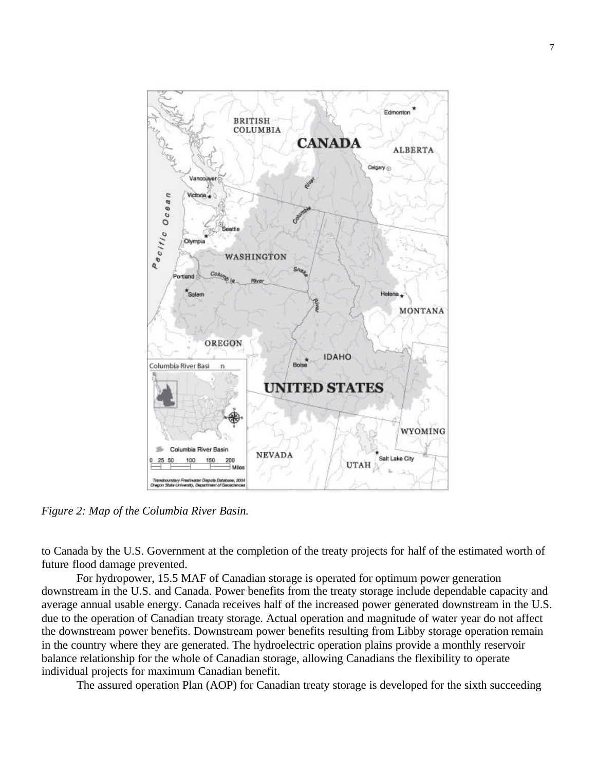

*Figure 2: Map of the Columbia River Basin.*

to Canada by the U.S. Government at the completion of the treaty projects for half of the estimated worth of future flood damage prevented.

For hydropower, 15.5 MAF of Canadian storage is operated for optimum power generation downstream in the U.S. and Canada. Power benefits from the treaty storage include dependable capacity and average annual usable energy. Canada receives half of the increased power generated downstream in the U.S. due to the operation of Canadian treaty storage. Actual operation and magnitude of water year do not affect the downstream power benefits. Downstream power benefits resulting from Libby storage operation remain in the country where they are generated. The hydroelectric operation plains provide a monthly reservoir balance relationship for the whole of Canadian storage, allowing Canadians the flexibility to operate individual projects for maximum Canadian benefit.

The assured operation Plan (AOP) for Canadian treaty storage is developed for the sixth succeeding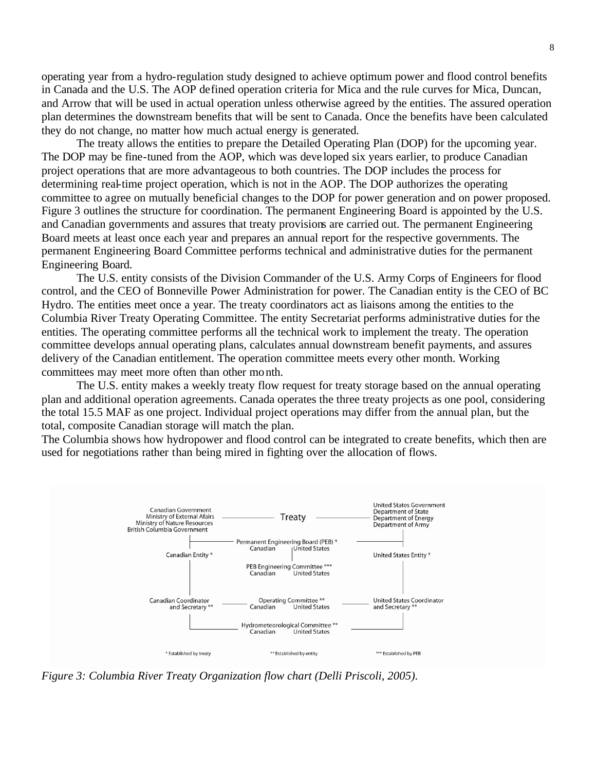operating year from a hydro-regulation study designed to achieve optimum power and flood control benefits in Canada and the U.S. The AOP defined operation criteria for Mica and the rule curves for Mica, Duncan, and Arrow that will be used in actual operation unless otherwise agreed by the entities. The assured operation plan determines the downstream benefits that will be sent to Canada. Once the benefits have been calculated they do not change, no matter how much actual energy is generated.

The treaty allows the entities to prepare the Detailed Operating Plan (DOP) for the upcoming year. The DOP may be fine-tuned from the AOP, which was deve loped six years earlier, to produce Canadian project operations that are more advantageous to both countries. The DOP includes the process for determining real-time project operation, which is not in the AOP. The DOP authorizes the operating committee to agree on mutually beneficial changes to the DOP for power generation and on power proposed. Figure 3 outlines the structure for coordination. The permanent Engineering Board is appointed by the U.S. and Canadian governments and assures that treaty provisions are carried out. The permanent Engineering Board meets at least once each year and prepares an annual report for the respective governments. The permanent Engineering Board Committee performs technical and administrative duties for the permanent Engineering Board.

The U.S. entity consists of the Division Commander of the U.S. Army Corps of Engineers for flood control, and the CEO of Bonneville Power Administration for power. The Canadian entity is the CEO of BC Hydro. The entities meet once a year. The treaty coordinators act as liaisons among the entities to the Columbia River Treaty Operating Committee. The entity Secretariat performs administrative duties for the entities. The operating committee performs all the technical work to implement the treaty. The operation committee develops annual operating plans, calculates annual downstream benefit payments, and assures delivery of the Canadian entitlement. The operation committee meets every other month. Working committees may meet more often than other month.

The U.S. entity makes a weekly treaty flow request for treaty storage based on the annual operating plan and additional operation agreements. Canada operates the three treaty projects as one pool, considering the total 15.5 MAF as one project. Individual project operations may differ from the annual plan, but the total, composite Canadian storage will match the plan.

The Columbia shows how hydropower and flood control can be integrated to create benefits, which then are used for negotiations rather than being mired in fighting over the allocation of flows.



*Figure 3: Columbia River Treaty Organization flow chart (Delli Priscoli, 2005).*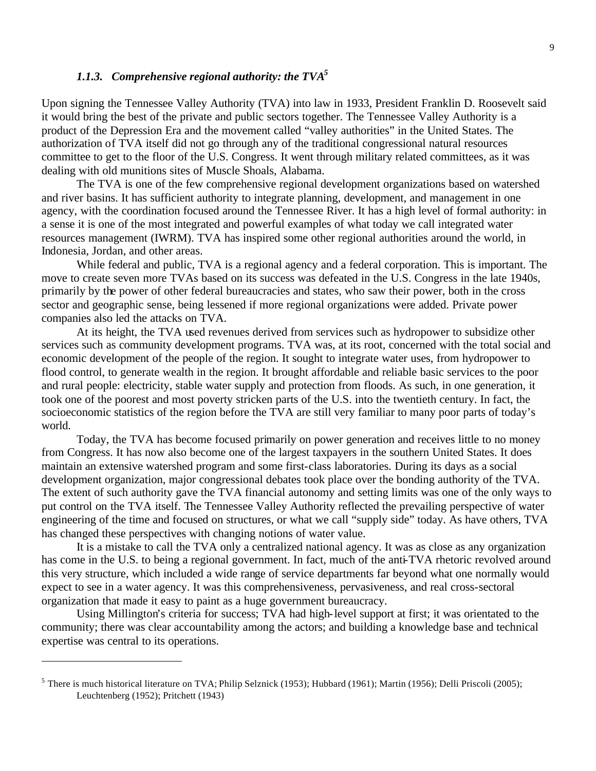## *1.1.3. Comprehensive regional authority: the TVA<sup>5</sup>*

Upon signing the Tennessee Valley Authority (TVA) into law in 1933, President Franklin D. Roosevelt said it would bring the best of the private and public sectors together. The Tennessee Valley Authority is a product of the Depression Era and the movement called "valley authorities" in the United States. The authorization of TVA itself did not go through any of the traditional congressional natural resources committee to get to the floor of the U.S. Congress. It went through military related committees, as it was dealing with old munitions sites of Muscle Shoals, Alabama.

The TVA is one of the few comprehensive regional development organizations based on watershed and river basins. It has sufficient authority to integrate planning, development, and management in one agency, with the coordination focused around the Tennessee River. It has a high level of formal authority: in a sense it is one of the most integrated and powerful examples of what today we call integrated water resources management (IWRM). TVA has inspired some other regional authorities around the world, in Indonesia, Jordan, and other areas.

While federal and public, TVA is a regional agency and a federal corporation. This is important. The move to create seven more TVAs based on its success was defeated in the U.S. Congress in the late 1940s, primarily by the power of other federal bureaucracies and states, who saw their power, both in the cross sector and geographic sense, being lessened if more regional organizations were added. Private power companies also led the attacks on TVA.

At its height, the TVA used revenues derived from services such as hydropower to subsidize other services such as community development programs. TVA was, at its root, concerned with the total social and economic development of the people of the region. It sought to integrate water uses, from hydropower to flood control, to generate wealth in the region. It brought affordable and reliable basic services to the poor and rural people: electricity, stable water supply and protection from floods. As such, in one generation, it took one of the poorest and most poverty stricken parts of the U.S. into the twentieth century. In fact, the socioeconomic statistics of the region before the TVA are still very familiar to many poor parts of today's world.

Today, the TVA has become focused primarily on power generation and receives little to no money from Congress. It has now also become one of the largest taxpayers in the southern United States. It does maintain an extensive watershed program and some first-class laboratories. During its days as a social development organization, major congressional debates took place over the bonding authority of the TVA. The extent of such authority gave the TVA financial autonomy and setting limits was one of the only ways to put control on the TVA itself. The Tennessee Valley Authority reflected the prevailing perspective of water engineering of the time and focused on structures, or what we call "supply side" today. As have others, TVA has changed these perspectives with changing notions of water value.

It is a mistake to call the TVA only a centralized national agency. It was as close as any organization has come in the U.S. to being a regional government. In fact, much of the anti-TVA rhetoric revolved around this very structure, which included a wide range of service departments far beyond what one normally would expect to see in a water agency. It was this comprehensiveness, pervasiveness, and real cross-sectoral organization that made it easy to paint as a huge government bureaucracy.

Using Millington's criteria for success; TVA had high-level support at first; it was orientated to the community; there was clear accountability among the actors; and building a knowledge base and technical expertise was central to its operations.

<sup>&</sup>lt;sup>5</sup> There is much historical literature on TVA; Philip Selznick (1953); Hubbard (1961); Martin (1956); Delli Priscoli (2005); Leuchtenberg (1952); Pritchett (1943)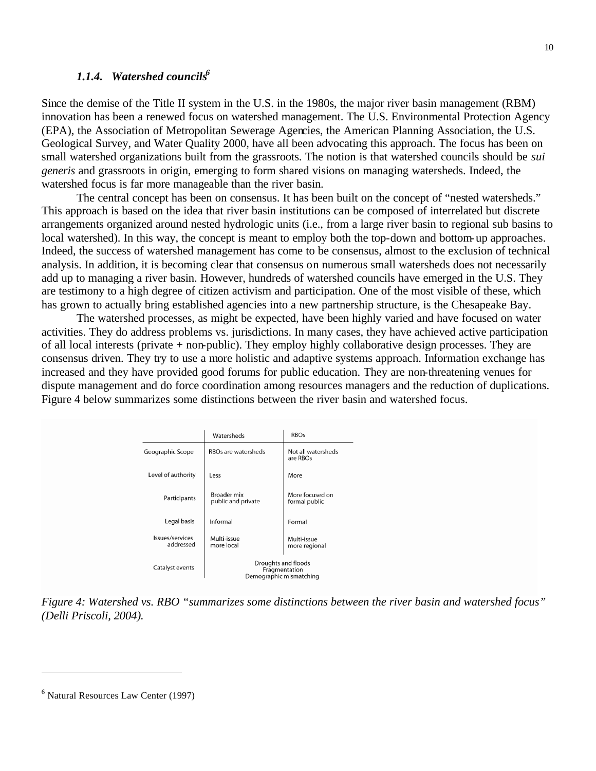# *1.1.4. Watershed councils<sup>6</sup>*

Since the demise of the Title II system in the U.S. in the 1980s, the major river basin management (RBM) innovation has been a renewed focus on watershed management. The U.S. Environmental Protection Agency (EPA), the Association of Metropolitan Sewerage Agencies, the American Planning Association, the U.S. Geological Survey, and Water Quality 2000, have all been advocating this approach. The focus has been on small watershed organizations built from the grassroots. The notion is that watershed councils should be *sui generis* and grassroots in origin, emerging to form shared visions on managing watersheds. Indeed, the watershed focus is far more manageable than the river basin.

The central concept has been on consensus. It has been built on the concept of "nested watersheds." This approach is based on the idea that river basin institutions can be composed of interrelated but discrete arrangements organized around nested hydrologic units (i.e., from a large river basin to regional sub basins to local watershed). In this way, the concept is meant to employ both the top-down and bottom-up approaches. Indeed, the success of watershed management has come to be consensus, almost to the exclusion of technical analysis. In addition, it is becoming clear that consensus on numerous small watersheds does not necessarily add up to managing a river basin. However, hundreds of watershed councils have emerged in the U.S. They are testimony to a high degree of citizen activism and participation. One of the most visible of these, which has grown to actually bring established agencies into a new partnership structure, is the Chesapeake Bay.

The watershed processes, as might be expected, have been highly varied and have focused on water activities. They do address problems vs. jurisdictions. In many cases, they have achieved active participation of all local interests (private + non-public). They employ highly collaborative design processes. They are consensus driven. They try to use a more holistic and adaptive systems approach. Information exchange has increased and they have provided good forums for public education. They are non-threatening venues for dispute management and do force coordination among resources managers and the reduction of duplications. Figure 4 below summarizes some distinctions between the river basin and watershed focus.

|                              | Watersheds                                                      | <b>RBOs</b>                      |
|------------------------------|-----------------------------------------------------------------|----------------------------------|
| Geographic Scope             | RBOs are watersheds                                             | Not all watersheds<br>are RBOs   |
| Level of authority           | Less                                                            | More                             |
| Participants                 | Broader mix<br>public and private                               | More focused on<br>formal public |
| Legal basis                  | Informal                                                        | Formal                           |
| Issues/services<br>addressed | Multi-issue<br>more local                                       | Multi-issue<br>more regional     |
| Catalyst events              | Droughts and floods<br>Fragmentation<br>Demographic mismatching |                                  |

*Figure 4: Watershed vs. RBO "summarizes some distinctions between the river basin and watershed focus" (Delli Priscoli, 2004).*

<sup>6</sup> Natural Resources Law Center (1997)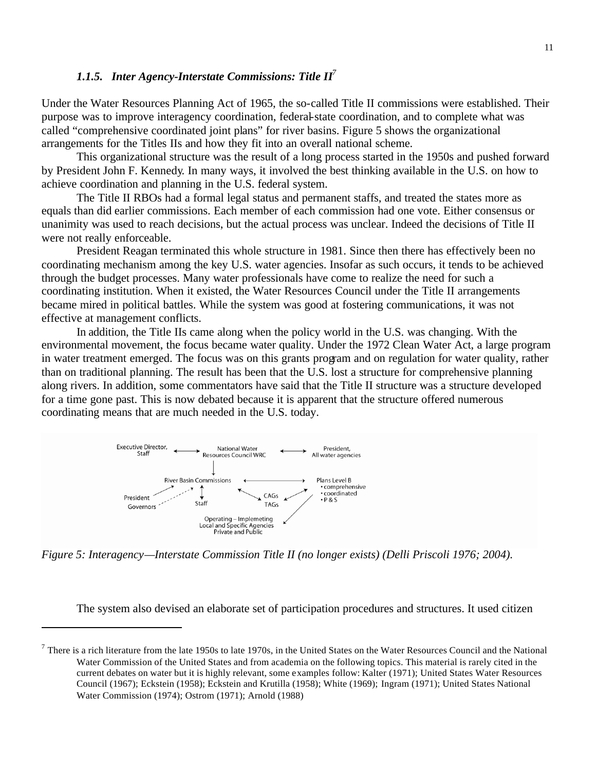## *1.1.5. Inter Agency-Interstate Commissions: Title II<sup>7</sup>*

Under the Water Resources Planning Act of 1965, the so-called Title II commissions were established. Their purpose was to improve interagency coordination, federal-state coordination, and to complete what was called "comprehensive coordinated joint plans" for river basins. Figure 5 shows the organizational arrangements for the Titles IIs and how they fit into an overall national scheme.

This organizational structure was the result of a long process started in the 1950s and pushed forward by President John F. Kennedy. In many ways, it involved the best thinking available in the U.S. on how to achieve coordination and planning in the U.S. federal system.

The Title II RBOs had a formal legal status and permanent staffs, and treated the states more as equals than did earlier commissions. Each member of each commission had one vote. Either consensus or unanimity was used to reach decisions, but the actual process was unclear. Indeed the decisions of Title II were not really enforceable.

President Reagan terminated this whole structure in 1981. Since then there has effectively been no coordinating mechanism among the key U.S. water agencies. Insofar as such occurs, it tends to be achieved through the budget processes. Many water professionals have come to realize the need for such a coordinating institution. When it existed, the Water Resources Council under the Title II arrangements became mired in political battles. While the system was good at fostering communications, it was not effective at management conflicts.

In addition, the Title IIs came along when the policy world in the U.S. was changing. With the environmental movement, the focus became water quality. Under the 1972 Clean Water Act, a large program in water treatment emerged. The focus was on this grants program and on regulation for water quality, rather than on traditional planning. The result has been that the U.S. lost a structure for comprehensive planning along rivers. In addition, some commentators have said that the Title II structure was a structure developed for a time gone past. This is now debated because it is apparent that the structure offered numerous coordinating means that are much needed in the U.S. today.



 $\overline{a}$ 

*Figure 5: Interagency—Interstate Commission Title II (no longer exists) (Delli Priscoli 1976; 2004).*

The system also devised an elaborate set of participation procedures and structures. It used citizen

 $<sup>7</sup>$  There is a rich literature from the late 1950s to late 1970s, in the United States on the Water Resources Council and the National</sup> Water Commission of the United States and from academia on the following topics. This material is rarely cited in the current debates on water but it is highly relevant, some examples follow: Kalter (1971); United States Water Resources Council (1967); Eckstein (1958); Eckstein and Krutilla (1958); White (1969); Ingram (1971); United States National Water Commission (1974); Ostrom (1971); Arnold (1988)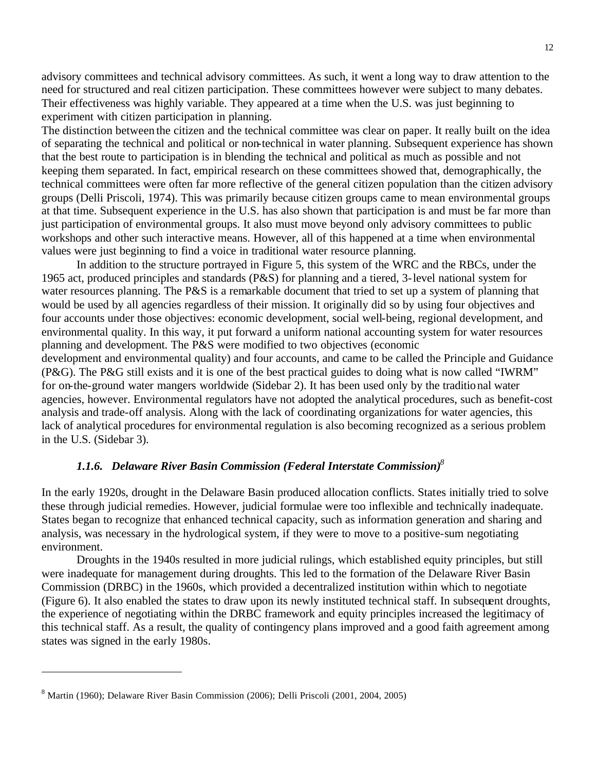advisory committees and technical advisory committees. As such, it went a long way to draw attention to the need for structured and real citizen participation. These committees however were subject to many debates. Their effectiveness was highly variable. They appeared at a time when the U.S. was just beginning to experiment with citizen participation in planning.

The distinction between the citizen and the technical committee was clear on paper. It really built on the idea of separating the technical and political or non-technical in water planning. Subsequent experience has shown that the best route to participation is in blending the technical and political as much as possible and not keeping them separated. In fact, empirical research on these committees showed that, demographically, the technical committees were often far more reflective of the general citizen population than the citizen advisory groups (Delli Priscoli, 1974). This was primarily because citizen groups came to mean environmental groups at that time. Subsequent experience in the U.S. has also shown that participation is and must be far more than just participation of environmental groups. It also must move beyond only advisory committees to public workshops and other such interactive means. However, all of this happened at a time when environmental values were just beginning to find a voice in traditional water resource planning.

In addition to the structure portrayed in Figure 5, this system of the WRC and the RBCs, under the 1965 act, produced principles and standards (P&S) for planning and a tiered, 3-level national system for water resources planning. The P&S is a remarkable document that tried to set up a system of planning that would be used by all agencies regardless of their mission. It originally did so by using four objectives and four accounts under those objectives: economic development, social well-being, regional development, and environmental quality. In this way, it put forward a uniform national accounting system for water resources planning and development. The P&S were modified to two objectives (economic

development and environmental quality) and four accounts, and came to be called the Principle and Guidance (P&G). The P&G still exists and it is one of the best practical guides to doing what is now called "IWRM" for on-the-ground water mangers worldwide (Sidebar 2). It has been used only by the traditional water agencies, however. Environmental regulators have not adopted the analytical procedures, such as benefit-cost analysis and trade-off analysis. Along with the lack of coordinating organizations for water agencies, this lack of analytical procedures for environmental regulation is also becoming recognized as a serious problem in the U.S. (Sidebar 3).

## *1.1.6. Delaware River Basin Commission (Federal Interstate Commission)<sup>8</sup>*

In the early 1920s, drought in the Delaware Basin produced allocation conflicts. States initially tried to solve these through judicial remedies. However, judicial formulae were too inflexible and technically inadequate. States began to recognize that enhanced technical capacity, such as information generation and sharing and analysis, was necessary in the hydrological system, if they were to move to a positive-sum negotiating environment.

Droughts in the 1940s resulted in more judicial rulings, which established equity principles, but still were inadequate for management during droughts. This led to the formation of the Delaware River Basin Commission (DRBC) in the 1960s, which provided a decentralized institution within which to negotiate (Figure 6). It also enabled the states to draw upon its newly instituted technical staff. In subsequent droughts, the experience of negotiating within the DRBC framework and equity principles increased the legitimacy of this technical staff. As a result, the quality of contingency plans improved and a good faith agreement among states was signed in the early 1980s.

<sup>8</sup> Martin (1960); Delaware River Basin Commission (2006); Delli Priscoli (2001, 2004, 2005)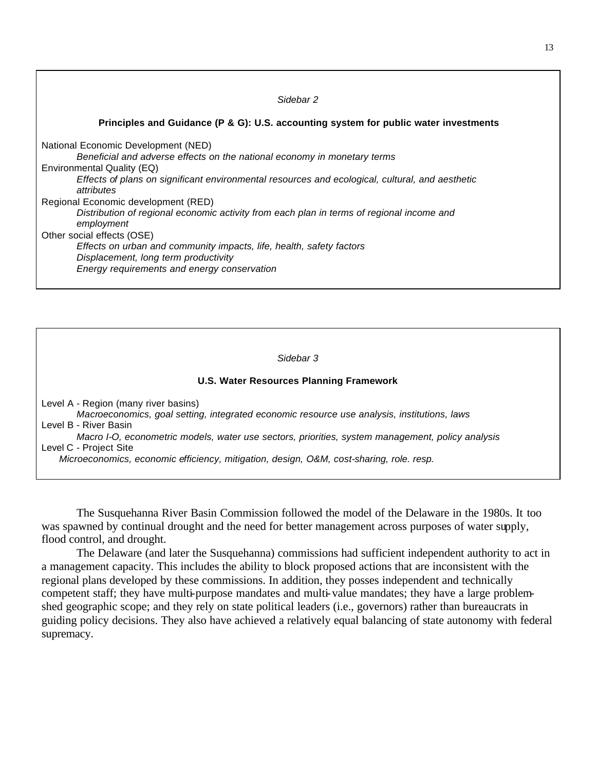| Sidebar 2                                                                                               |  |  |
|---------------------------------------------------------------------------------------------------------|--|--|
|                                                                                                         |  |  |
| Principles and Guidance (P & G): U.S. accounting system for public water investments                    |  |  |
| National Economic Development (NED)                                                                     |  |  |
| Beneficial and adverse effects on the national economy in monetary terms                                |  |  |
| Environmental Quality (EQ)                                                                              |  |  |
| Effects of plans on significant environmental resources and ecological, cultural, and aesthetic         |  |  |
| attributes                                                                                              |  |  |
| Regional Economic development (RED)                                                                     |  |  |
| Distribution of regional economic activity from each plan in terms of regional income and<br>employment |  |  |
| Other social effects (OSE)                                                                              |  |  |
| Effects on urban and community impacts, life, health, safety factors                                    |  |  |
| Displacement, long term productivity                                                                    |  |  |
| Energy requirements and energy conservation                                                             |  |  |
|                                                                                                         |  |  |

### *Sidebar 3*

#### **U.S. Water Resources Planning Framework**

Level A - Region (many river basins) *Macroeconomics, goal setting, integrated economic resource use analysis, institutions, laws* Level B - River Basin *Macro I-O, econometric models, water use sectors, priorities, system management, policy analysis* Level C - Project Site *Microeconomics, economic efficiency, mitigation, design, O&M, cost-sharing, role. resp.*

The Susquehanna River Basin Commission followed the model of the Delaware in the 1980s. It too was spawned by continual drought and the need for better management across purposes of water supply, flood control, and drought.

The Delaware (and later the Susquehanna) commissions had sufficient independent authority to act in a management capacity. This includes the ability to block proposed actions that are inconsistent with the regional plans developed by these commissions. In addition, they posses independent and technically competent staff; they have multi-purpose mandates and multi-value mandates; they have a large problemshed geographic scope; and they rely on state political leaders (i.e., governors) rather than bureaucrats in guiding policy decisions. They also have achieved a relatively equal balancing of state autonomy with federal supremacy.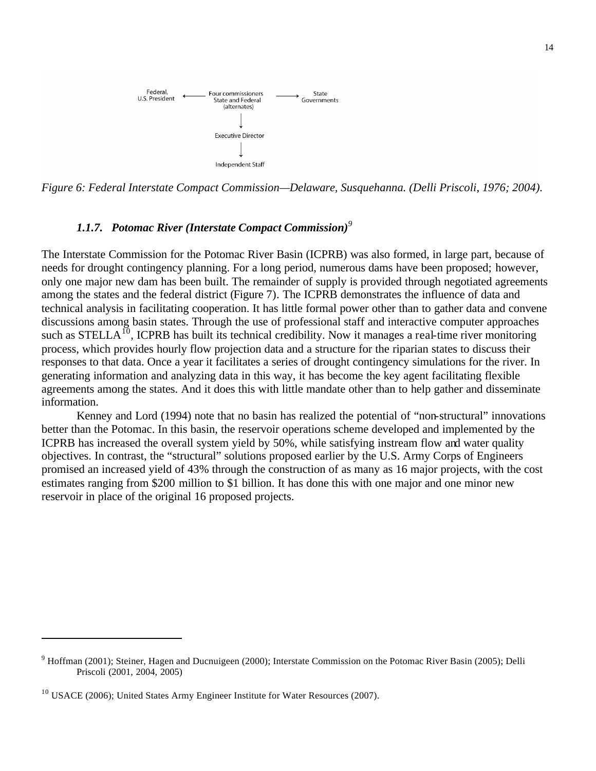

*Figure 6: Federal Interstate Compact Commission—Delaware, Susquehanna. (Delli Priscoli, 1976; 2004).*

## *1.1.7. Potomac River (Interstate Compact Commission)<sup>9</sup>*

The Interstate Commission for the Potomac River Basin (ICPRB) was also formed, in large part, because of needs for drought contingency planning. For a long period, numerous dams have been proposed; however, only one major new dam has been built. The remainder of supply is provided through negotiated agreements among the states and the federal district (Figure 7). The ICPRB demonstrates the influence of data and technical analysis in facilitating cooperation. It has little formal power other than to gather data and convene discussions among basin states. Through the use of professional staff and interactive computer approaches such as STELLA<sup>10</sup>, ICPRB has built its technical credibility. Now it manages a real-time river monitoring process, which provides hourly flow projection data and a structure for the riparian states to discuss their responses to that data. Once a year it facilitates a series of drought contingency simulations for the river. In generating information and analyzing data in this way, it has become the key agent facilitating flexible agreements among the states. And it does this with little mandate other than to help gather and disseminate information.

Kenney and Lord (1994) note that no basin has realized the potential of "non-structural" innovations better than the Potomac. In this basin, the reservoir operations scheme developed and implemented by the ICPRB has increased the overall system yield by 50%, while satisfying instream flow and water quality objectives. In contrast, the "structural" solutions proposed earlier by the U.S. Army Corps of Engineers promised an increased yield of 43% through the construction of as many as 16 major projects, with the cost estimates ranging from \$200 million to \$1 billion. It has done this with one major and one minor new reservoir in place of the original 16 proposed projects.

 $9$  Hoffman (2001); Steiner, Hagen and Ducnuigeen (2000); Interstate Commission on the Potomac River Basin (2005); Delli Priscoli (2001, 2004, 2005)

<sup>&</sup>lt;sup>10</sup> USACE (2006); United States Army Engineer Institute for Water Resources (2007).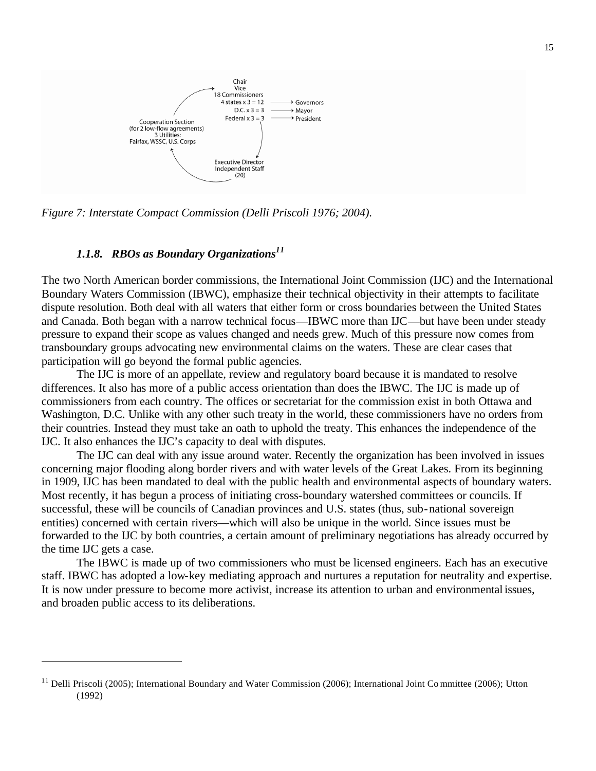

*Figure 7: Interstate Compact Commission (Delli Priscoli 1976; 2004).*

# *1.1.8. RBOs as Boundary Organizations<sup>11</sup>*

 $\overline{a}$ 

The two North American border commissions, the International Joint Commission (IJC) and the International Boundary Waters Commission (IBWC), emphasize their technical objectivity in their attempts to facilitate dispute resolution. Both deal with all waters that either form or cross boundaries between the United States and Canada. Both began with a narrow technical focus—IBWC more than IJC—but have been under steady pressure to expand their scope as values changed and needs grew. Much of this pressure now comes from transboundary groups advocating new environmental claims on the waters. These are clear cases that participation will go beyond the formal public agencies.

The IJC is more of an appellate, review and regulatory board because it is mandated to resolve differences. It also has more of a public access orientation than does the IBWC. The IJC is made up of commissioners from each country. The offices or secretariat for the commission exist in both Ottawa and Washington, D.C. Unlike with any other such treaty in the world, these commissioners have no orders from their countries. Instead they must take an oath to uphold the treaty. This enhances the independence of the IJC. It also enhances the IJC's capacity to deal with disputes.

The IJC can deal with any issue around water. Recently the organization has been involved in issues concerning major flooding along border rivers and with water levels of the Great Lakes. From its beginning in 1909, IJC has been mandated to deal with the public health and environmental aspects of boundary waters. Most recently, it has begun a process of initiating cross-boundary watershed committees or councils. If successful, these will be councils of Canadian provinces and U.S. states (thus, sub-national sovereign entities) concerned with certain rivers—which will also be unique in the world. Since issues must be forwarded to the IJC by both countries, a certain amount of preliminary negotiations has already occurred by the time IJC gets a case.

The IBWC is made up of two commissioners who must be licensed engineers. Each has an executive staff. IBWC has adopted a low-key mediating approach and nurtures a reputation for neutrality and expertise. It is now under pressure to become more activist, increase its attention to urban and environmental issues, and broaden public access to its deliberations.

 $11$  Delli Priscoli (2005); International Boundary and Water Commission (2006); International Joint Committee (2006); Utton (1992)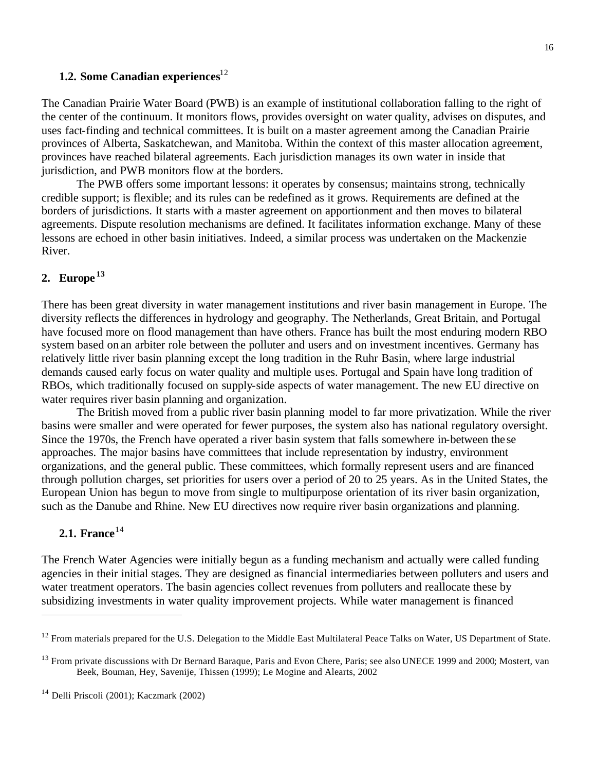# **1.2.** Some Canadian experiences<sup>12</sup>

The Canadian Prairie Water Board (PWB) is an example of institutional collaboration falling to the right of the center of the continuum. It monitors flows, provides oversight on water quality, advises on disputes, and uses fact-finding and technical committees. It is built on a master agreement among the Canadian Prairie provinces of Alberta, Saskatchewan, and Manitoba. Within the context of this master allocation agreement, provinces have reached bilateral agreements. Each jurisdiction manages its own water in inside that jurisdiction, and PWB monitors flow at the borders.

The PWB offers some important lessons: it operates by consensus; maintains strong, technically credible support; is flexible; and its rules can be redefined as it grows. Requirements are defined at the borders of jurisdictions. It starts with a master agreement on apportionment and then moves to bilateral agreements. Dispute resolution mechanisms are defined. It facilitates information exchange. Many of these lessons are echoed in other basin initiatives. Indeed, a similar process was undertaken on the Mackenzie River.

## **2. Europe <sup>13</sup>**

There has been great diversity in water management institutions and river basin management in Europe. The diversity reflects the differences in hydrology and geography. The Netherlands, Great Britain, and Portugal have focused more on flood management than have others. France has built the most enduring modern RBO system based on an arbiter role between the polluter and users and on investment incentives. Germany has relatively little river basin planning except the long tradition in the Ruhr Basin, where large industrial demands caused early focus on water quality and multiple uses. Portugal and Spain have long tradition of RBOs, which traditionally focused on supply-side aspects of water management. The new EU directive on water requires river basin planning and organization.

The British moved from a public river basin planning model to far more privatization. While the river basins were smaller and were operated for fewer purposes, the system also has national regulatory oversight. Since the 1970s, the French have operated a river basin system that falls somewhere in-between the se approaches. The major basins have committees that include representation by industry, environment organizations, and the general public. These committees, which formally represent users and are financed through pollution charges, set priorities for users over a period of 20 to 25 years. As in the United States, the European Union has begun to move from single to multipurpose orientation of its river basin organization, such as the Danube and Rhine. New EU directives now require river basin organizations and planning.

## **2.1. France**<sup>14</sup>

 $\overline{a}$ 

The French Water Agencies were initially begun as a funding mechanism and actually were called funding agencies in their initial stages. They are designed as financial intermediaries between polluters and users and water treatment operators. The basin agencies collect revenues from polluters and reallocate these by subsidizing investments in water quality improvement projects. While water management is financed

 $12$  From materials prepared for the U.S. Delegation to the Middle East Multilateral Peace Talks on Water, US Department of State.

 $13$  From private discussions with Dr Bernard Baraque, Paris and Evon Chere, Paris; see also UNECE 1999 and 2000; Mostert, van Beek, Bouman, Hey, Savenije, Thissen (1999); Le Mogine and Alearts, 2002

 $14$  Delli Priscoli (2001); Kaczmark (2002)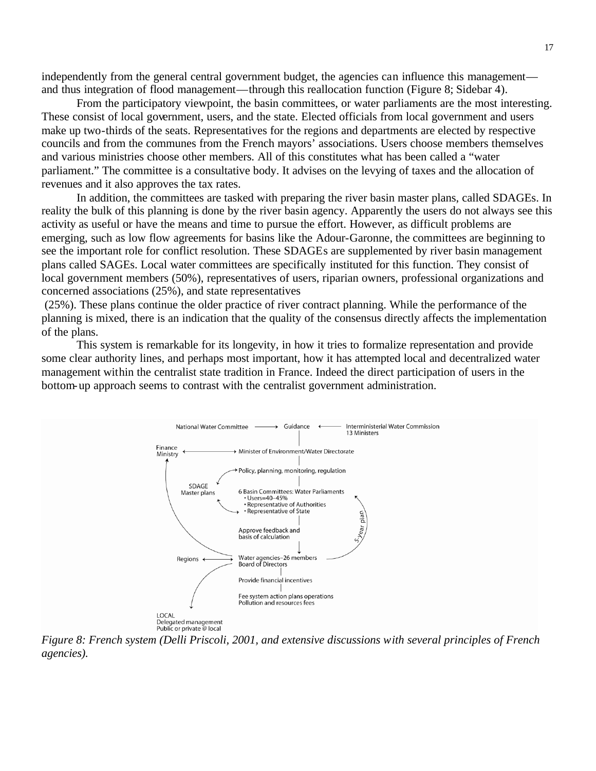independently from the general central government budget, the agencies can influence this management and thus integration of flood management—through this reallocation function (Figure 8; Sidebar 4).

From the participatory viewpoint, the basin committees, or water parliaments are the most interesting. These consist of local government, users, and the state. Elected officials from local government and users make up two-thirds of the seats. Representatives for the regions and departments are elected by respective councils and from the communes from the French mayors' associations. Users choose members themselves and various ministries choose other members. All of this constitutes what has been called a "water parliament." The committee is a consultative body. It advises on the levying of taxes and the allocation of revenues and it also approves the tax rates.

In addition, the committees are tasked with preparing the river basin master plans, called SDAGEs. In reality the bulk of this planning is done by the river basin agency. Apparently the users do not always see this activity as useful or have the means and time to pursue the effort. However, as difficult problems are emerging, such as low flow agreements for basins like the Adour-Garonne, the committees are beginning to see the important role for conflict resolution. These SDAGEs are supplemented by river basin management plans called SAGEs. Local water committees are specifically instituted for this function. They consist of local government members (50%), representatives of users, riparian owners, professional organizations and concerned associations (25%), and state representatives

 (25%). These plans continue the older practice of river contract planning. While the performance of the planning is mixed, there is an indication that the quality of the consensus directly affects the implementation of the plans.

This system is remarkable for its longevity, in how it tries to formalize representation and provide some clear authority lines, and perhaps most important, how it has attempted local and decentralized water management within the centralist state tradition in France. Indeed the direct participation of users in the bottom-up approach seems to contrast with the centralist government administration.



*Figure 8: French system (Delli Priscoli, 2001, and extensive discussions with several principles of French agencies).*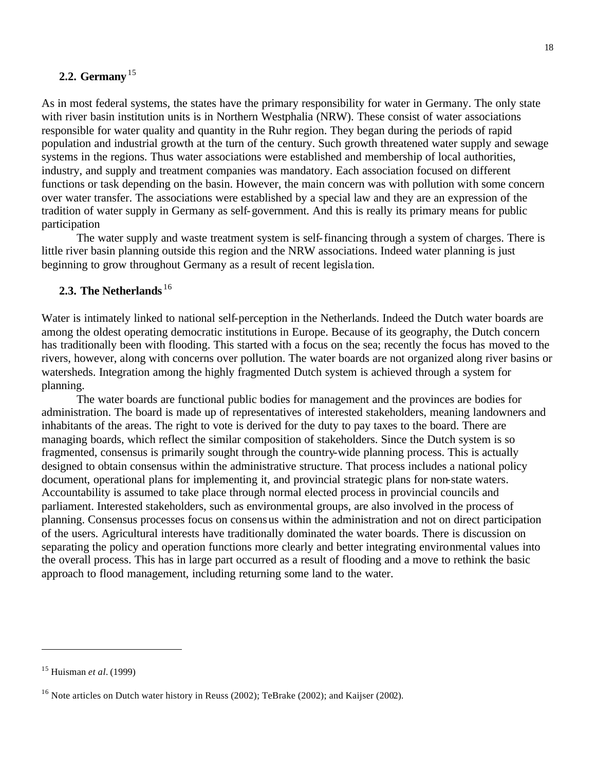## **2.2. Germany**<sup>15</sup>

As in most federal systems, the states have the primary responsibility for water in Germany. The only state with river basin institution units is in Northern Westphalia (NRW). These consist of water associations responsible for water quality and quantity in the Ruhr region. They began during the periods of rapid population and industrial growth at the turn of the century. Such growth threatened water supply and sewage systems in the regions. Thus water associations were established and membership of local authorities, industry, and supply and treatment companies was mandatory. Each association focused on different functions or task depending on the basin. However, the main concern was with pollution with some concern over water transfer. The associations were established by a special law and they are an expression of the tradition of water supply in Germany as self-government. And this is really its primary means for public participation

The water supply and waste treatment system is self-financing through a system of charges. There is little river basin planning outside this region and the NRW associations. Indeed water planning is just beginning to grow throughout Germany as a result of recent legisla tion.

# **2.3. The Netherlands** <sup>16</sup>

Water is intimately linked to national self-perception in the Netherlands. Indeed the Dutch water boards are among the oldest operating democratic institutions in Europe. Because of its geography, the Dutch concern has traditionally been with flooding. This started with a focus on the sea; recently the focus has moved to the rivers, however, along with concerns over pollution. The water boards are not organized along river basins or watersheds. Integration among the highly fragmented Dutch system is achieved through a system for planning.

The water boards are functional public bodies for management and the provinces are bodies for administration. The board is made up of representatives of interested stakeholders, meaning landowners and inhabitants of the areas. The right to vote is derived for the duty to pay taxes to the board. There are managing boards, which reflect the similar composition of stakeholders. Since the Dutch system is so fragmented, consensus is primarily sought through the country-wide planning process. This is actually designed to obtain consensus within the administrative structure. That process includes a national policy document, operational plans for implementing it, and provincial strategic plans for non-state waters. Accountability is assumed to take place through normal elected process in provincial councils and parliament. Interested stakeholders, such as environmental groups, are also involved in the process of planning. Consensus processes focus on consensus within the administration and not on direct participation of the users. Agricultural interests have traditionally dominated the water boards. There is discussion on separating the policy and operation functions more clearly and better integrating environmental values into the overall process. This has in large part occurred as a result of flooding and a move to rethink the basic approach to flood management, including returning some land to the water.

<sup>15</sup> Huisman *et al.* (1999)

<sup>&</sup>lt;sup>16</sup> Note articles on Dutch water history in Reuss (2002); TeBrake (2002); and Kaijser (2002).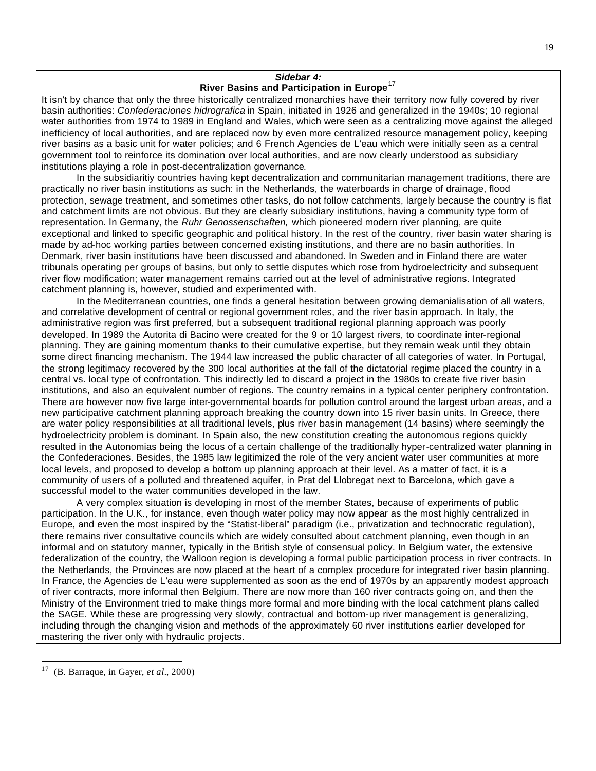#### *Sidebar 4:* **River Basins and Participation in Europe**<sup>17</sup>

It isn't by chance that only the three historically centralized monarchies have their territory now fully covered by river basin authorities: *Confederaciones hidrografica* in Spain, initiated in 1926 and generalized in the 1940s; 10 regional water authorities from 1974 to 1989 in England and Wales, which were seen as a centralizing move against the alleged inefficiency of local authorities, and are replaced now by even more centralized resource management policy, keeping river basins as a basic unit for water policies; and 6 French Agencies de L'eau which were initially seen as a central government tool to reinforce its domination over local authorities, and are now clearly understood as subsidiary institutions playing a role in post-decentralization governance.

In the subsidiaritiy countries having kept decentralization and communitarian management traditions, there are practically no river basin institutions as such: in the Netherlands, the waterboards in charge of drainage, flood protection, sewage treatment, and sometimes other tasks, do not follow catchments, largely because the country is flat and catchment limits are not obvious. But they are clearly subsidiary institutions, having a community type form of representation. In Germany, the *Ruhr Genossenschaften,* which pioneered modern river planning, are quite exceptional and linked to specific geographic and political history. In the rest of the country, river basin water sharing is made by ad-hoc working parties between concerned existing institutions, and there are no basin authorities. In Denmark, river basin institutions have been discussed and abandoned. In Sweden and in Finland there are water tribunals operating per groups of basins, but only to settle disputes which rose from hydroelectricity and subsequent river flow modification; water management remains carried out at the level of administrative regions. Integrated catchment planning is, however, studied and experimented with.

In the Mediterranean countries, one finds a general hesitation between growing demanialisation of all waters, and correlative development of central or regional government roles, and the river basin approach. In Italy, the administrative region was first preferred, but a subsequent traditional regional planning approach was poorly developed. In 1989 the Autorita di Bacino were created for the 9 or 10 largest rivers, to coordinate inter-regional planning. They are gaining momentum thanks to their cumulative expertise, but they remain weak until they obtain some direct financing mechanism. The 1944 law increased the public character of all categories of water. In Portugal, the strong legitimacy recovered by the 300 local authorities at the fall of the dictatorial regime placed the country in a central vs. local type of confrontation. This indirectly led to discard a project in the 1980s to create five river basin institutions, and also an equivalent number of regions. The country remains in a typical center periphery confrontation. There are however now five large inter-governmental boards for pollution control around the largest urban areas, and a new participative catchment planning approach breaking the country down into 15 river basin units. In Greece, there are water policy responsibilities at all traditional levels, plus river basin management (14 basins) where seemingly the hydroelectricity problem is dominant. In Spain also, the new constitution creating the autonomous regions quickly resulted in the Autonomias being the locus of a certain challenge of the traditionally hyper-centralized water planning in the Confederaciones. Besides, the 1985 law legitimized the role of the very ancient water user communities at more local levels, and proposed to develop a bottom up planning approach at their level. As a matter of fact, it is a community of users of a polluted and threatened aquifer, in Prat del Llobregat next to Barcelona, which gave a successful model to the water communities developed in the law.

A very complex situation is developing in most of the member States, because of experiments of public participation. In the U.K., for instance, even though water policy may now appear as the most highly centralized in Europe, and even the most inspired by the "Statist-liberal" paradigm (i.e., privatization and technocratic regulation), there remains river consultative councils which are widely consulted about catchment planning, even though in an informal and on statutory manner, typically in the British style of consensual policy. In Belgium water, the extensive federalization of the country, the Walloon region is developing a formal public participation process in river contracts. In the Netherlands, the Provinces are now placed at the heart of a complex procedure for integrated river basin planning. In France, the Agencies de L'eau were supplemented as soon as the end of 1970s by an apparently modest approach of river contracts, more informal then Belgium. There are now more than 160 river contracts going on, and then the Ministry of the Environment tried to make things more formal and more binding with the local catchment plans called the SAGE. While these are progressing very slowly, contractual and bottom-up river management is generalizing, including through the changing vision and methods of the approximately 60 river institutions earlier developed for mastering the river only with hydraulic projects.

<sup>17</sup> (B. Barraque, in Gayer, *et al.*, 2000)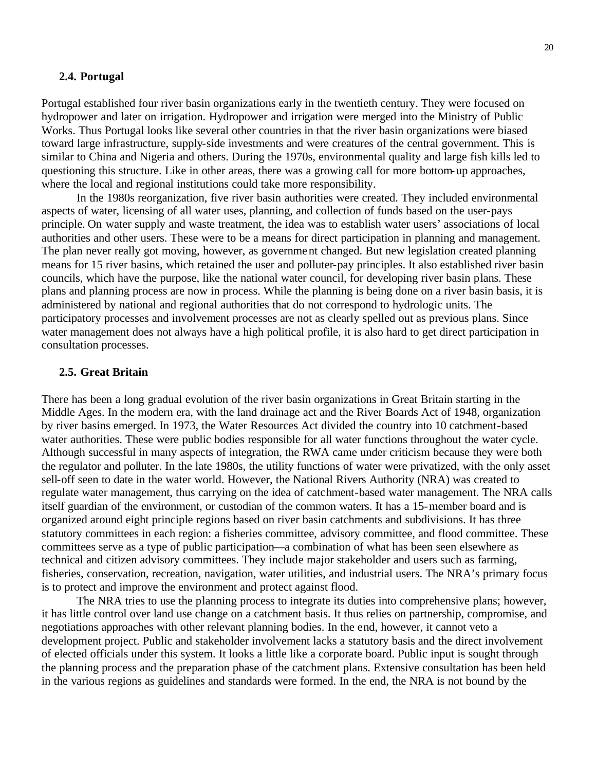#### **2.4. Portugal**

Portugal established four river basin organizations early in the twentieth century. They were focused on hydropower and later on irrigation. Hydropower and irrigation were merged into the Ministry of Public Works. Thus Portugal looks like several other countries in that the river basin organizations were biased toward large infrastructure, supply-side investments and were creatures of the central government. This is similar to China and Nigeria and others. During the 1970s, environmental quality and large fish kills led to questioning this structure. Like in other areas, there was a growing call for more bottom-up approaches, where the local and regional institutions could take more responsibility.

In the 1980s reorganization, five river basin authorities were created. They included environmental aspects of water, licensing of all water uses, planning, and collection of funds based on the user-pays principle. On water supply and waste treatment, the idea was to establish water users' associations of local authorities and other users. These were to be a means for direct participation in planning and management. The plan never really got moving, however, as government changed. But new legislation created planning means for 15 river basins, which retained the user and polluter-pay principles. It also established river basin councils, which have the purpose, like the national water council, for developing river basin plans. These plans and planning process are now in process. While the planning is being done on a river basin basis, it is administered by national and regional authorities that do not correspond to hydrologic units. The participatory processes and involvement processes are not as clearly spelled out as previous plans. Since water management does not always have a high political profile, it is also hard to get direct participation in consultation processes.

### **2.5. Great Britain**

There has been a long gradual evolution of the river basin organizations in Great Britain starting in the Middle Ages. In the modern era, with the land drainage act and the River Boards Act of 1948, organization by river basins emerged. In 1973, the Water Resources Act divided the country into 10 catchment-based water authorities. These were public bodies responsible for all water functions throughout the water cycle. Although successful in many aspects of integration, the RWA came under criticism because they were both the regulator and polluter. In the late 1980s, the utility functions of water were privatized, with the only asset sell-off seen to date in the water world. However, the National Rivers Authority (NRA) was created to regulate water management, thus carrying on the idea of catchment-based water management. The NRA calls itself guardian of the environment, or custodian of the common waters. It has a 15-member board and is organized around eight principle regions based on river basin catchments and subdivisions. It has three statutory committees in each region: a fisheries committee, advisory committee, and flood committee. These committees serve as a type of public participation—a combination of what has been seen elsewhere as technical and citizen advisory committees. They include major stakeholder and users such as farming, fisheries, conservation, recreation, navigation, water utilities, and industrial users. The NRA's primary focus is to protect and improve the environment and protect against flood.

The NRA tries to use the planning process to integrate its duties into comprehensive plans; however, it has little control over land use change on a catchment basis. It thus relies on partnership, compromise, and negotiations approaches with other relevant planning bodies. In the end, however, it cannot veto a development project. Public and stakeholder involvement lacks a statutory basis and the direct involvement of elected officials under this system. It looks a little like a corporate board. Public input is sought through the planning process and the preparation phase of the catchment plans. Extensive consultation has been held in the various regions as guidelines and standards were formed. In the end, the NRA is not bound by the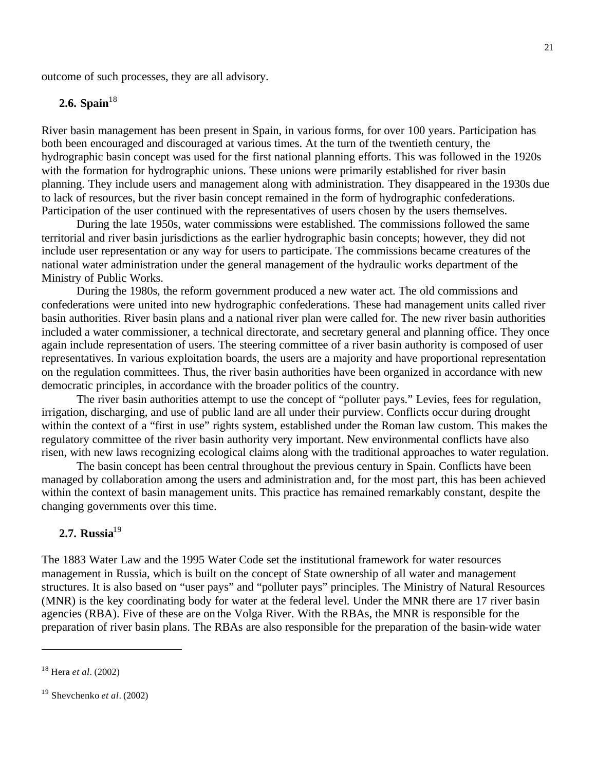outcome of such processes, they are all advisory.

## **2.6. Spain**<sup>18</sup>

River basin management has been present in Spain, in various forms, for over 100 years. Participation has both been encouraged and discouraged at various times. At the turn of the twentieth century, the hydrographic basin concept was used for the first national planning efforts. This was followed in the 1920s with the formation for hydrographic unions. These unions were primarily established for river basin planning. They include users and management along with administration. They disappeared in the 1930s due to lack of resources, but the river basin concept remained in the form of hydrographic confederations. Participation of the user continued with the representatives of users chosen by the users themselves.

During the late 1950s, water commissions were established. The commissions followed the same territorial and river basin jurisdictions as the earlier hydrographic basin concepts; however, they did not include user representation or any way for users to participate. The commissions became creatures of the national water administration under the general management of the hydraulic works department of the Ministry of Public Works.

During the 1980s, the reform government produced a new water act. The old commissions and confederations were united into new hydrographic confederations. These had management units called river basin authorities. River basin plans and a national river plan were called for. The new river basin authorities included a water commissioner, a technical directorate, and secretary general and planning office. They once again include representation of users. The steering committee of a river basin authority is composed of user representatives. In various exploitation boards, the users are a majority and have proportional representation on the regulation committees. Thus, the river basin authorities have been organized in accordance with new democratic principles, in accordance with the broader politics of the country.

The river basin authorities attempt to use the concept of "polluter pays." Levies, fees for regulation, irrigation, discharging, and use of public land are all under their purview. Conflicts occur during drought within the context of a "first in use" rights system, established under the Roman law custom. This makes the regulatory committee of the river basin authority very important. New environmental conflicts have also risen, with new laws recognizing ecological claims along with the traditional approaches to water regulation.

The basin concept has been central throughout the previous century in Spain. Conflicts have been managed by collaboration among the users and administration and, for the most part, this has been achieved within the context of basin management units. This practice has remained remarkably constant, despite the changing governments over this time.

# **2.7. Russia**<sup>19</sup>

The 1883 Water Law and the 1995 Water Code set the institutional framework for water resources management in Russia, which is built on the concept of State ownership of all water and management structures. It is also based on "user pays" and "polluter pays" principles. The Ministry of Natural Resources (MNR) is the key coordinating body for water at the federal level. Under the MNR there are 17 river basin agencies (RBA). Five of these are on the Volga River. With the RBAs, the MNR is responsible for the preparation of river basin plans. The RBAs are also responsible for the preparation of the basin-wide water

<sup>18</sup> Hera *et al*. (2002)

<sup>19</sup> Shevchenko *et al*. (2002)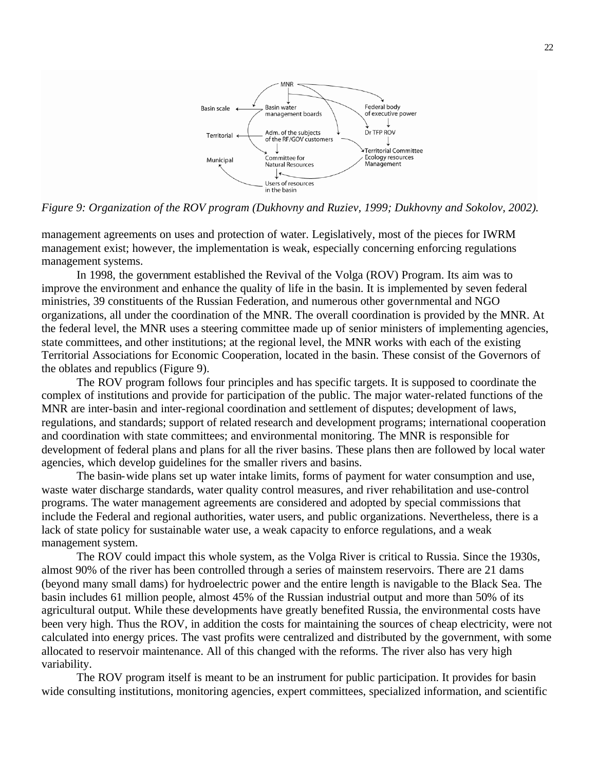

*Figure 9: Organization of the ROV program (Dukhovny and Ruziev, 1999; Dukhovny and Sokolov, 2002).*

management agreements on uses and protection of water. Legislatively, most of the pieces for IWRM management exist; however, the implementation is weak, especially concerning enforcing regulations management systems.

In 1998, the government established the Revival of the Volga (ROV) Program. Its aim was to improve the environment and enhance the quality of life in the basin. It is implemented by seven federal ministries, 39 constituents of the Russian Federation, and numerous other governmental and NGO organizations, all under the coordination of the MNR. The overall coordination is provided by the MNR. At the federal level, the MNR uses a steering committee made up of senior ministers of implementing agencies, state committees, and other institutions; at the regional level, the MNR works with each of the existing Territorial Associations for Economic Cooperation, located in the basin. These consist of the Governors of the oblates and republics (Figure 9).

The ROV program follows four principles and has specific targets. It is supposed to coordinate the complex of institutions and provide for participation of the public. The major water-related functions of the MNR are inter-basin and inter-regional coordination and settlement of disputes; development of laws, regulations, and standards; support of related research and development programs; international cooperation and coordination with state committees; and environmental monitoring. The MNR is responsible for development of federal plans and plans for all the river basins. These plans then are followed by local water agencies, which develop guidelines for the smaller rivers and basins.

The basin-wide plans set up water intake limits, forms of payment for water consumption and use, waste water discharge standards, water quality control measures, and river rehabilitation and use-control programs. The water management agreements are considered and adopted by special commissions that include the Federal and regional authorities, water users, and public organizations. Nevertheless, there is a lack of state policy for sustainable water use, a weak capacity to enforce regulations, and a weak management system.

The ROV could impact this whole system, as the Volga River is critical to Russia. Since the 1930s, almost 90% of the river has been controlled through a series of mainstem reservoirs. There are 21 dams (beyond many small dams) for hydroelectric power and the entire length is navigable to the Black Sea. The basin includes 61 million people, almost 45% of the Russian industrial output and more than 50% of its agricultural output. While these developments have greatly benefited Russia, the environmental costs have been very high. Thus the ROV, in addition the costs for maintaining the sources of cheap electricity, were not calculated into energy prices. The vast profits were centralized and distributed by the government, with some allocated to reservoir maintenance. All of this changed with the reforms. The river also has very high variability.

The ROV program itself is meant to be an instrument for public participation. It provides for basin wide consulting institutions, monitoring agencies, expert committees, specialized information, and scientific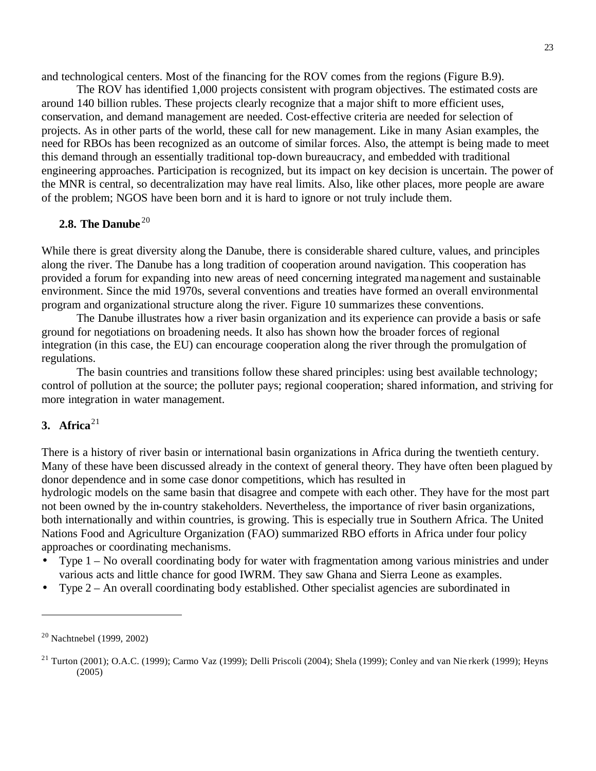and technological centers. Most of the financing for the ROV comes from the regions (Figure B.9).

The ROV has identified 1,000 projects consistent with program objectives. The estimated costs are around 140 billion rubles. These projects clearly recognize that a major shift to more efficient uses, conservation, and demand management are needed. Cost-effective criteria are needed for selection of projects. As in other parts of the world, these call for new management. Like in many Asian examples, the need for RBOs has been recognized as an outcome of similar forces. Also, the attempt is being made to meet this demand through an essentially traditional top-down bureaucracy, and embedded with traditional engineering approaches. Participation is recognized, but its impact on key decision is uncertain. The power of the MNR is central, so decentralization may have real limits. Also, like other places, more people are aware of the problem; NGOS have been born and it is hard to ignore or not truly include them.

# **2.8. The Danube** <sup>20</sup>

While there is great diversity along the Danube, there is considerable shared culture, values, and principles along the river. The Danube has a long tradition of cooperation around navigation. This cooperation has provided a forum for expanding into new areas of need concerning integrated management and sustainable environment. Since the mid 1970s, several conventions and treaties have formed an overall environmental program and organizational structure along the river. Figure 10 summarizes these conventions.

The Danube illustrates how a river basin organization and its experience can provide a basis or safe ground for negotiations on broadening needs. It also has shown how the broader forces of regional integration (in this case, the EU) can encourage cooperation along the river through the promulgation of regulations.

The basin countries and transitions follow these shared principles: using best available technology; control of pollution at the source; the polluter pays; regional cooperation; shared information, and striving for more integration in water management.

# **3. Africa**<sup>21</sup>

There is a history of river basin or international basin organizations in Africa during the twentieth century. Many of these have been discussed already in the context of general theory. They have often been plagued by donor dependence and in some case donor competitions, which has resulted in

hydrologic models on the same basin that disagree and compete with each other. They have for the most part not been owned by the in-country stakeholders. Nevertheless, the importance of river basin organizations, both internationally and within countries, is growing. This is especially true in Southern Africa. The United Nations Food and Agriculture Organization (FAO) summarized RBO efforts in Africa under four policy approaches or coordinating mechanisms.

- Type 1 No overall coordinating body for water with fragmentation among various ministries and under various acts and little chance for good IWRM. They saw Ghana and Sierra Leone as examples.
- Type 2 An overall coordinating body established. Other specialist agencies are subordinated in

<sup>20</sup> Nachtnebel (1999, 2002)

 $21$  Turton (2001); O.A.C. (1999); Carmo Vaz (1999); Delli Priscoli (2004); Shela (1999); Conley and van Nie rkerk (1999); Heyns (2005)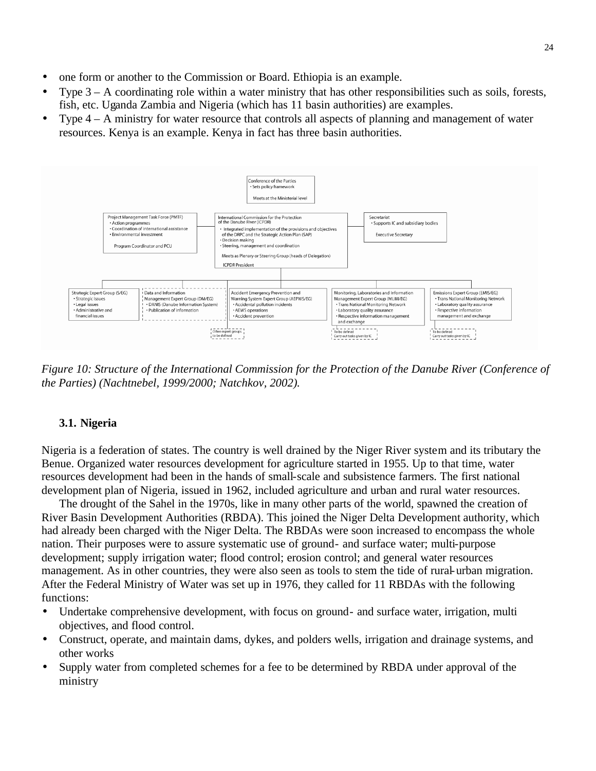- one form or another to the Commission or Board. Ethiopia is an example.
- Type  $3 A$  coordinating role within a water ministry that has other responsibilities such as soils, forests, fish, etc. Uganda Zambia and Nigeria (which has 11 basin authorities) are examples.
- Type 4 A ministry for water resource that controls all aspects of planning and management of water resources. Kenya is an example. Kenya in fact has three basin authorities.



*Figure 10: Structure of the International Commission for the Protection of the Danube River (Conference of the Parties) (Nachtnebel, 1999/2000; Natchkov, 2002).*

# **3.1. Nigeria**

Nigeria is a federation of states. The country is well drained by the Niger River system and its tributary the Benue. Organized water resources development for agriculture started in 1955. Up to that time, water resources development had been in the hands of small-scale and subsistence farmers. The first national development plan of Nigeria, issued in 1962, included agriculture and urban and rural water resources.

The drought of the Sahel in the 1970s, like in many other parts of the world, spawned the creation of River Basin Development Authorities (RBDA). This joined the Niger Delta Development authority, which had already been charged with the Niger Delta. The RBDAs were soon increased to encompass the whole nation. Their purposes were to assure systematic use of ground- and surface water; multi-purpose development; supply irrigation water; flood control; erosion control; and general water resources management. As in other countries, they were also seen as tools to stem the tide of rural-urban migration. After the Federal Ministry of Water was set up in 1976, they called for 11 RBDAs with the following functions:

- Undertake comprehensive development, with focus on ground- and surface water, irrigation, multi objectives, and flood control.
- Construct, operate, and maintain dams, dykes, and polders wells, irrigation and drainage systems, and other works
- Supply water from completed schemes for a fee to be determined by RBDA under approval of the ministry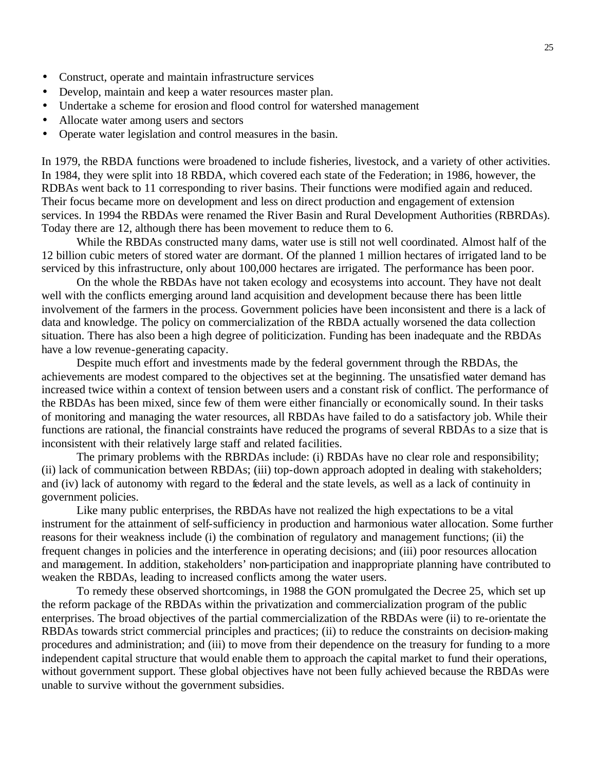- Construct, operate and maintain infrastructure services
- Develop, maintain and keep a water resources master plan.
- Undertake a scheme for erosion and flood control for watershed management
- Allocate water among users and sectors
- Operate water legislation and control measures in the basin.

In 1979, the RBDA functions were broadened to include fisheries, livestock, and a variety of other activities. In 1984, they were split into 18 RBDA, which covered each state of the Federation; in 1986, however, the RDBAs went back to 11 corresponding to river basins. Their functions were modified again and reduced. Their focus became more on development and less on direct production and engagement of extension services. In 1994 the RBDAs were renamed the River Basin and Rural Development Authorities (RBRDAs). Today there are 12, although there has been movement to reduce them to 6.

While the RBDAs constructed many dams, water use is still not well coordinated. Almost half of the 12 billion cubic meters of stored water are dormant. Of the planned 1 million hectares of irrigated land to be serviced by this infrastructure, only about 100,000 hectares are irrigated. The performance has been poor.

On the whole the RBDAs have not taken ecology and ecosystems into account. They have not dealt well with the conflicts emerging around land acquisition and development because there has been little involvement of the farmers in the process. Government policies have been inconsistent and there is a lack of data and knowledge. The policy on commercialization of the RBDA actually worsened the data collection situation. There has also been a high degree of politicization. Funding has been inadequate and the RBDAs have a low revenue-generating capacity.

Despite much effort and investments made by the federal government through the RBDAs, the achievements are modest compared to the objectives set at the beginning. The unsatisfied water demand has increased twice within a context of tension between users and a constant risk of conflict. The performance of the RBDAs has been mixed, since few of them were either financially or economically sound. In their tasks of monitoring and managing the water resources, all RBDAs have failed to do a satisfactory job. While their functions are rational, the financial constraints have reduced the programs of several RBDAs to a size that is inconsistent with their relatively large staff and related facilities.

The primary problems with the RBRDAs include: (i) RBDAs have no clear role and responsibility; (ii) lack of communication between RBDAs; (iii) top-down approach adopted in dealing with stakeholders; and (iv) lack of autonomy with regard to the federal and the state levels, as well as a lack of continuity in government policies.

Like many public enterprises, the RBDAs have not realized the high expectations to be a vital instrument for the attainment of self-sufficiency in production and harmonious water allocation. Some further reasons for their weakness include (i) the combination of regulatory and management functions; (ii) the frequent changes in policies and the interference in operating decisions; and (iii) poor resources allocation and management. In addition, stakeholders' non-participation and inappropriate planning have contributed to weaken the RBDAs, leading to increased conflicts among the water users.

To remedy these observed shortcomings, in 1988 the GON promulgated the Decree 25, which set up the reform package of the RBDAs within the privatization and commercialization program of the public enterprises. The broad objectives of the partial commercialization of the RBDAs were (ii) to re-orientate the RBDAs towards strict commercial principles and practices; (ii) to reduce the constraints on decision-making procedures and administration; and (iii) to move from their dependence on the treasury for funding to a more independent capital structure that would enable them to approach the capital market to fund their operations, without government support. These global objectives have not been fully achieved because the RBDAs were unable to survive without the government subsidies.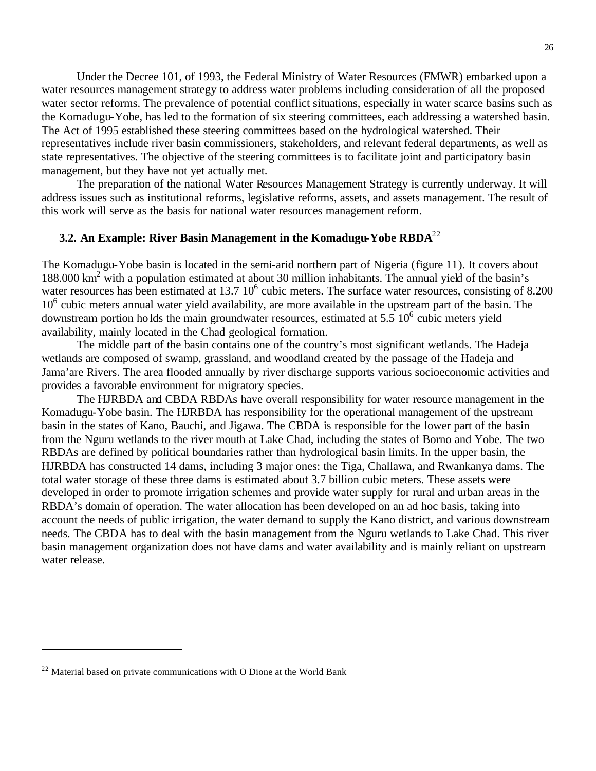Under the Decree 101, of 1993, the Federal Ministry of Water Resources (FMWR) embarked upon a water resources management strategy to address water problems including consideration of all the proposed water sector reforms. The prevalence of potential conflict situations, especially in water scarce basins such as the Komadugu-Yobe, has led to the formation of six steering committees, each addressing a watershed basin. The Act of 1995 established these steering committees based on the hydrological watershed. Their representatives include river basin commissioners, stakeholders, and relevant federal departments, as well as state representatives. The objective of the steering committees is to facilitate joint and participatory basin management, but they have not yet actually met.

The preparation of the national Water Resources Management Strategy is currently underway. It will address issues such as institutional reforms, legislative reforms, assets, and assets management. The result of this work will serve as the basis for national water resources management reform.

## **3.2. An Example: River Basin Management in the Komadugu-Yobe RBDA**<sup>22</sup>

The Komadugu-Yobe basin is located in the semi-arid northern part of Nigeria (figure 11). It covers about 188.000 km<sup>2</sup> with a population estimated at about 30 million inhabitants. The annual yield of the basin's water resources has been estimated at 13.7 10<sup>6</sup> cubic meters. The surface water resources, consisting of 8.200 10<sup>6</sup> cubic meters annual water yield availability, are more available in the upstream part of the basin. The downstream portion holds the main groundwater resources, estimated at  $5.5 \times 10^6$  cubic meters yield availability, mainly located in the Chad geological formation.

The middle part of the basin contains one of the country's most significant wetlands. The Hadeja wetlands are composed of swamp, grassland, and woodland created by the passage of the Hadeja and Jama'are Rivers. The area flooded annually by river discharge supports various socioeconomic activities and provides a favorable environment for migratory species.

The HJRBDA and CBDA RBDAs have overall responsibility for water resource management in the Komadugu-Yobe basin. The HJRBDA has responsibility for the operational management of the upstream basin in the states of Kano, Bauchi, and Jigawa. The CBDA is responsible for the lower part of the basin from the Nguru wetlands to the river mouth at Lake Chad, including the states of Borno and Yobe. The two RBDAs are defined by political boundaries rather than hydrological basin limits. In the upper basin, the HJRBDA has constructed 14 dams, including 3 major ones: the Tiga, Challawa, and Rwankanya dams. The total water storage of these three dams is estimated about 3.7 billion cubic meters. These assets were developed in order to promote irrigation schemes and provide water supply for rural and urban areas in the RBDA's domain of operation. The water allocation has been developed on an ad hoc basis, taking into account the needs of public irrigation, the water demand to supply the Kano district, and various downstream needs. The CBDA has to deal with the basin management from the Nguru wetlands to Lake Chad. This river basin management organization does not have dams and water availability and is mainly reliant on upstream water release.

 $22$  Material based on private communications with O Dione at the World Bank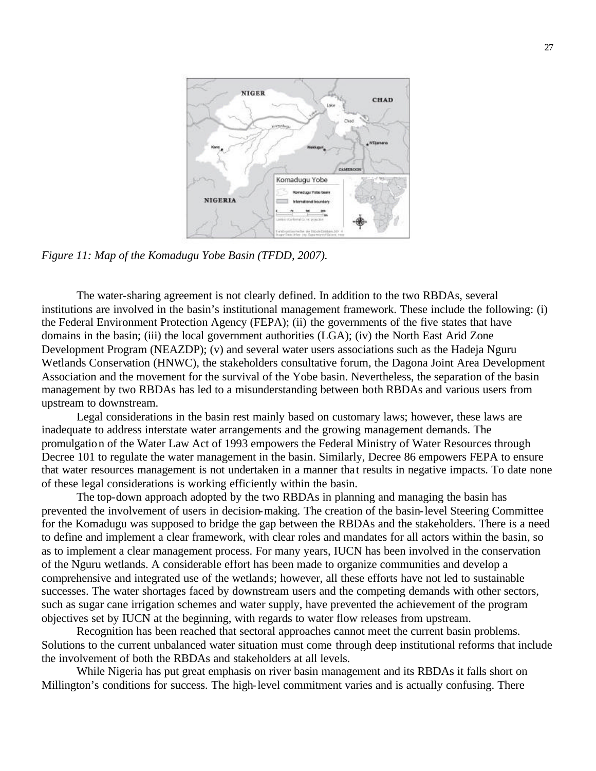

*Figure 11: Map of the Komadugu Yobe Basin (TFDD, 2007).*

The water-sharing agreement is not clearly defined. In addition to the two RBDAs, several institutions are involved in the basin's institutional management framework. These include the following: (i) the Federal Environment Protection Agency (FEPA); (ii) the governments of the five states that have domains in the basin; (iii) the local government authorities (LGA); (iv) the North East Arid Zone Development Program (NEAZDP); (v) and several water users associations such as the Hadeja Nguru Wetlands Conservation (HNWC), the stakeholders consultative forum, the Dagona Joint Area Development Association and the movement for the survival of the Yobe basin. Nevertheless, the separation of the basin management by two RBDAs has led to a misunderstanding between both RBDAs and various users from upstream to downstream.

Legal considerations in the basin rest mainly based on customary laws; however, these laws are inadequate to address interstate water arrangements and the growing management demands. The promulgation of the Water Law Act of 1993 empowers the Federal Ministry of Water Resources through Decree 101 to regulate the water management in the basin. Similarly, Decree 86 empowers FEPA to ensure that water resources management is not undertaken in a manner tha t results in negative impacts. To date none of these legal considerations is working efficiently within the basin.

The top-down approach adopted by the two RBDAs in planning and managing the basin has prevented the involvement of users in decision-making. The creation of the basin-level Steering Committee for the Komadugu was supposed to bridge the gap between the RBDAs and the stakeholders. There is a need to define and implement a clear framework, with clear roles and mandates for all actors within the basin, so as to implement a clear management process. For many years, IUCN has been involved in the conservation of the Nguru wetlands. A considerable effort has been made to organize communities and develop a comprehensive and integrated use of the wetlands; however, all these efforts have not led to sustainable successes. The water shortages faced by downstream users and the competing demands with other sectors, such as sugar cane irrigation schemes and water supply, have prevented the achievement of the program objectives set by IUCN at the beginning, with regards to water flow releases from upstream.

Recognition has been reached that sectoral approaches cannot meet the current basin problems. Solutions to the current unbalanced water situation must come through deep institutional reforms that include the involvement of both the RBDAs and stakeholders at all levels.

While Nigeria has put great emphasis on river basin management and its RBDAs it falls short on Millington's conditions for success. The high-level commitment varies and is actually confusing. There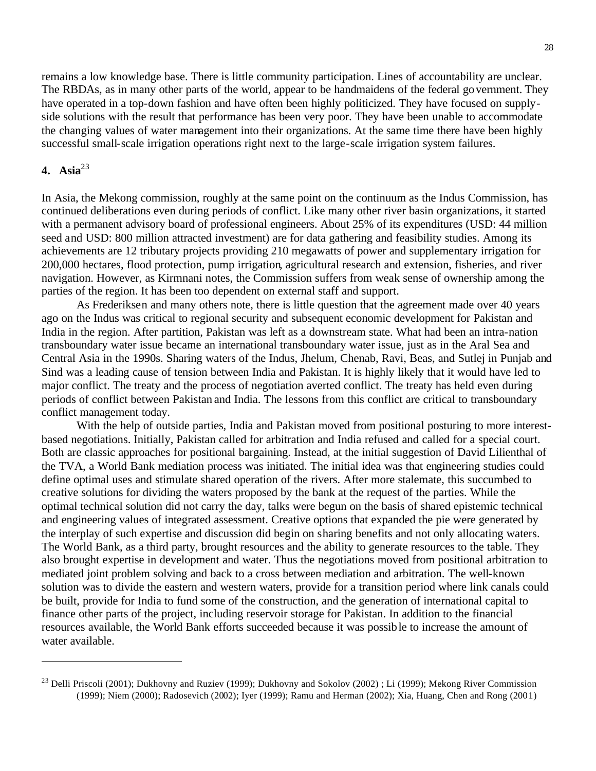remains a low knowledge base. There is little community participation. Lines of accountability are unclear. The RBDAs, as in many other parts of the world, appear to be handmaidens of the federal government. They have operated in a top-down fashion and have often been highly politicized. They have focused on supplyside solutions with the result that performance has been very poor. They have been unable to accommodate the changing values of water management into their organizations. At the same time there have been highly successful small-scale irrigation operations right next to the large-scale irrigation system failures.

# **4. Asia**<sup>23</sup>

 $\overline{a}$ 

In Asia, the Mekong commission, roughly at the same point on the continuum as the Indus Commission, has continued deliberations even during periods of conflict. Like many other river basin organizations, it started with a permanent advisory board of professional engineers. About 25% of its expenditures (USD: 44 million seed and USD: 800 million attracted investment) are for data gathering and feasibility studies. Among its achievements are 12 tributary projects providing 210 megawatts of power and supplementary irrigation for 200,000 hectares, flood protection, pump irrigation, agricultural research and extension, fisheries, and river navigation. However, as Kirmnani notes, the Commission suffers from weak sense of ownership among the parties of the region. It has been too dependent on external staff and support.

As Frederiksen and many others note, there is little question that the agreement made over 40 years ago on the Indus was critical to regional security and subsequent economic development for Pakistan and India in the region. After partition, Pakistan was left as a downstream state. What had been an intra-nation transboundary water issue became an international transboundary water issue, just as in the Aral Sea and Central Asia in the 1990s. Sharing waters of the Indus, Jhelum, Chenab, Ravi, Beas, and Sutlej in Punjab and Sind was a leading cause of tension between India and Pakistan. It is highly likely that it would have led to major conflict. The treaty and the process of negotiation averted conflict. The treaty has held even during periods of conflict between Pakistan and India. The lessons from this conflict are critical to transboundary conflict management today.

With the help of outside parties, India and Pakistan moved from positional posturing to more interestbased negotiations. Initially, Pakistan called for arbitration and India refused and called for a special court. Both are classic approaches for positional bargaining. Instead, at the initial suggestion of David Lilienthal of the TVA, a World Bank mediation process was initiated. The initial idea was that engineering studies could define optimal uses and stimulate shared operation of the rivers. After more stalemate, this succumbed to creative solutions for dividing the waters proposed by the bank at the request of the parties. While the optimal technical solution did not carry the day, talks were begun on the basis of shared epistemic technical and engineering values of integrated assessment. Creative options that expanded the pie were generated by the interplay of such expertise and discussion did begin on sharing benefits and not only allocating waters. The World Bank, as a third party, brought resources and the ability to generate resources to the table. They also brought expertise in development and water. Thus the negotiations moved from positional arbitration to mediated joint problem solving and back to a cross between mediation and arbitration. The well-known solution was to divide the eastern and western waters, provide for a transition period where link canals could be built, provide for India to fund some of the construction, and the generation of international capital to finance other parts of the project, including reservoir storage for Pakistan. In addition to the financial resources available, the World Bank efforts succeeded because it was possible to increase the amount of water available.

 $^{23}$  Delli Priscoli (2001); Dukhovny and Ruziev (1999); Dukhovny and Sokolov (2002) ; Li (1999); Mekong River Commission (1999); Niem (2000); Radosevich (2002); Iyer (1999); Ramu and Herman (2002); Xia, Huang, Chen and Rong (2001)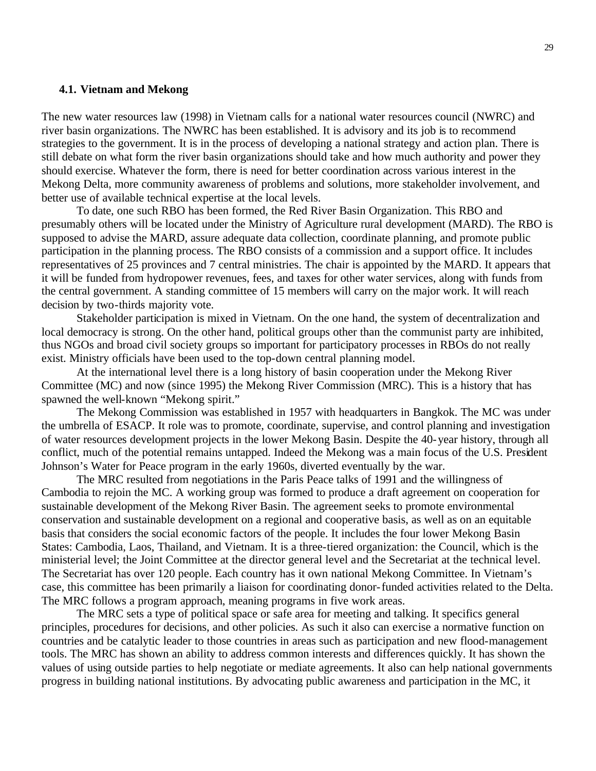#### **4.1. Vietnam and Mekong**

The new water resources law (1998) in Vietnam calls for a national water resources council (NWRC) and river basin organizations. The NWRC has been established. It is advisory and its job is to recommend strategies to the government. It is in the process of developing a national strategy and action plan. There is still debate on what form the river basin organizations should take and how much authority and power they should exercise. Whatever the form, there is need for better coordination across various interest in the Mekong Delta, more community awareness of problems and solutions, more stakeholder involvement, and better use of available technical expertise at the local levels.

To date, one such RBO has been formed, the Red River Basin Organization. This RBO and presumably others will be located under the Ministry of Agriculture rural development (MARD). The RBO is supposed to advise the MARD, assure adequate data collection, coordinate planning, and promote public participation in the planning process. The RBO consists of a commission and a support office. It includes representatives of 25 provinces and 7 central ministries. The chair is appointed by the MARD. It appears that it will be funded from hydropower revenues, fees, and taxes for other water services, along with funds from the central government. A standing committee of 15 members will carry on the major work. It will reach decision by two-thirds majority vote.

Stakeholder participation is mixed in Vietnam. On the one hand, the system of decentralization and local democracy is strong. On the other hand, political groups other than the communist party are inhibited, thus NGOs and broad civil society groups so important for participatory processes in RBOs do not really exist. Ministry officials have been used to the top-down central planning model.

At the international level there is a long history of basin cooperation under the Mekong River Committee (MC) and now (since 1995) the Mekong River Commission (MRC). This is a history that has spawned the well-known "Mekong spirit."

The Mekong Commission was established in 1957 with headquarters in Bangkok. The MC was under the umbrella of ESACP. It role was to promote, coordinate, supervise, and control planning and investigation of water resources development projects in the lower Mekong Basin. Despite the 40-year history, through all conflict, much of the potential remains untapped. Indeed the Mekong was a main focus of the U.S. President Johnson's Water for Peace program in the early 1960s, diverted eventually by the war.

The MRC resulted from negotiations in the Paris Peace talks of 1991 and the willingness of Cambodia to rejoin the MC. A working group was formed to produce a draft agreement on cooperation for sustainable development of the Mekong River Basin. The agreement seeks to promote environmental conservation and sustainable development on a regional and cooperative basis, as well as on an equitable basis that considers the social economic factors of the people. It includes the four lower Mekong Basin States: Cambodia, Laos, Thailand, and Vietnam. It is a three-tiered organization: the Council, which is the ministerial level; the Joint Committee at the director general level and the Secretariat at the technical level. The Secretariat has over 120 people. Each country has it own national Mekong Committee. In Vietnam's case, this committee has been primarily a liaison for coordinating donor-funded activities related to the Delta. The MRC follows a program approach, meaning programs in five work areas.

The MRC sets a type of political space or safe area for meeting and talking. It specifics general principles, procedures for decisions, and other policies. As such it also can exercise a normative function on countries and be catalytic leader to those countries in areas such as participation and new flood-management tools. The MRC has shown an ability to address common interests and differences quickly. It has shown the values of using outside parties to help negotiate or mediate agreements. It also can help national governments progress in building national institutions. By advocating public awareness and participation in the MC, it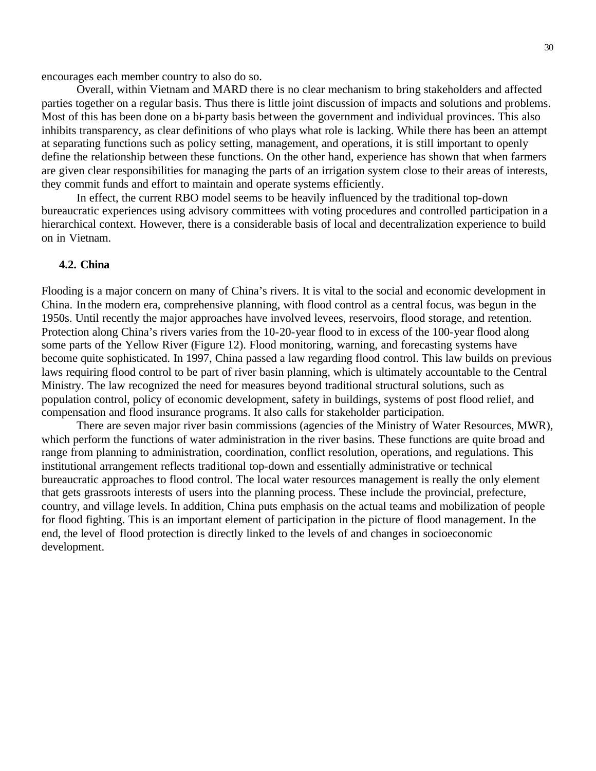encourages each member country to also do so.

Overall, within Vietnam and MARD there is no clear mechanism to bring stakeholders and affected parties together on a regular basis. Thus there is little joint discussion of impacts and solutions and problems. Most of this has been done on a bi-party basis between the government and individual provinces. This also inhibits transparency, as clear definitions of who plays what role is lacking. While there has been an attempt at separating functions such as policy setting, management, and operations, it is still important to openly define the relationship between these functions. On the other hand, experience has shown that when farmers are given clear responsibilities for managing the parts of an irrigation system close to their areas of interests, they commit funds and effort to maintain and operate systems efficiently.

In effect, the current RBO model seems to be heavily influenced by the traditional top-down bureaucratic experiences using advisory committees with voting procedures and controlled participation in a hierarchical context. However, there is a considerable basis of local and decentralization experience to build on in Vietnam.

### **4.2. China**

Flooding is a major concern on many of China's rivers. It is vital to the social and economic development in China. In the modern era, comprehensive planning, with flood control as a central focus, was begun in the 1950s. Until recently the major approaches have involved levees, reservoirs, flood storage, and retention. Protection along China's rivers varies from the 10-20-year flood to in excess of the 100-year flood along some parts of the Yellow River (Figure 12). Flood monitoring, warning, and forecasting systems have become quite sophisticated. In 1997, China passed a law regarding flood control. This law builds on previous laws requiring flood control to be part of river basin planning, which is ultimately accountable to the Central Ministry. The law recognized the need for measures beyond traditional structural solutions, such as population control, policy of economic development, safety in buildings, systems of post flood relief, and compensation and flood insurance programs. It also calls for stakeholder participation.

There are seven major river basin commissions (agencies of the Ministry of Water Resources, MWR), which perform the functions of water administration in the river basins. These functions are quite broad and range from planning to administration, coordination, conflict resolution, operations, and regulations. This institutional arrangement reflects traditional top-down and essentially administrative or technical bureaucratic approaches to flood control. The local water resources management is really the only element that gets grassroots interests of users into the planning process. These include the provincial, prefecture, country, and village levels. In addition, China puts emphasis on the actual teams and mobilization of people for flood fighting. This is an important element of participation in the picture of flood management. In the end, the level of flood protection is directly linked to the levels of and changes in socioeconomic development.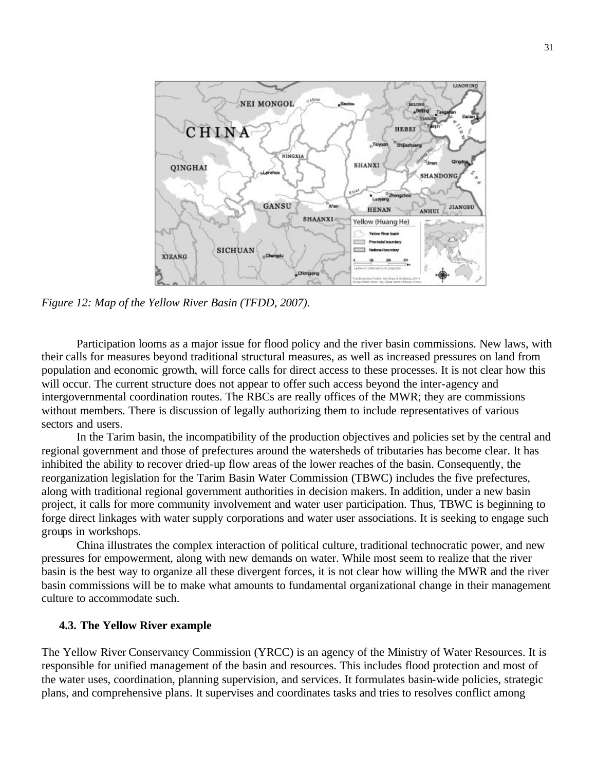

*Figure 12: Map of the Yellow River Basin (TFDD, 2007).*

Participation looms as a major issue for flood policy and the river basin commissions. New laws, with their calls for measures beyond traditional structural measures, as well as increased pressures on land from population and economic growth, will force calls for direct access to these processes. It is not clear how this will occur. The current structure does not appear to offer such access beyond the inter-agency and intergovernmental coordination routes. The RBCs are really offices of the MWR; they are commissions without members. There is discussion of legally authorizing them to include representatives of various sectors and users.

In the Tarim basin, the incompatibility of the production objectives and policies set by the central and regional government and those of prefectures around the watersheds of tributaries has become clear. It has inhibited the ability to recover dried-up flow areas of the lower reaches of the basin. Consequently, the reorganization legislation for the Tarim Basin Water Commission (TBWC) includes the five prefectures, along with traditional regional government authorities in decision makers. In addition, under a new basin project, it calls for more community involvement and water user participation. Thus, TBWC is beginning to forge direct linkages with water supply corporations and water user associations. It is seeking to engage such groups in workshops.

China illustrates the complex interaction of political culture, traditional technocratic power, and new pressures for empowerment, along with new demands on water. While most seem to realize that the river basin is the best way to organize all these divergent forces, it is not clear how willing the MWR and the river basin commissions will be to make what amounts to fundamental organizational change in their management culture to accommodate such.

### **4.3. The Yellow River example**

The Yellow River Conservancy Commission (YRCC) is an agency of the Ministry of Water Resources. It is responsible for unified management of the basin and resources. This includes flood protection and most of the water uses, coordination, planning supervision, and services. It formulates basin-wide policies, strategic plans, and comprehensive plans. It supervises and coordinates tasks and tries to resolves conflict among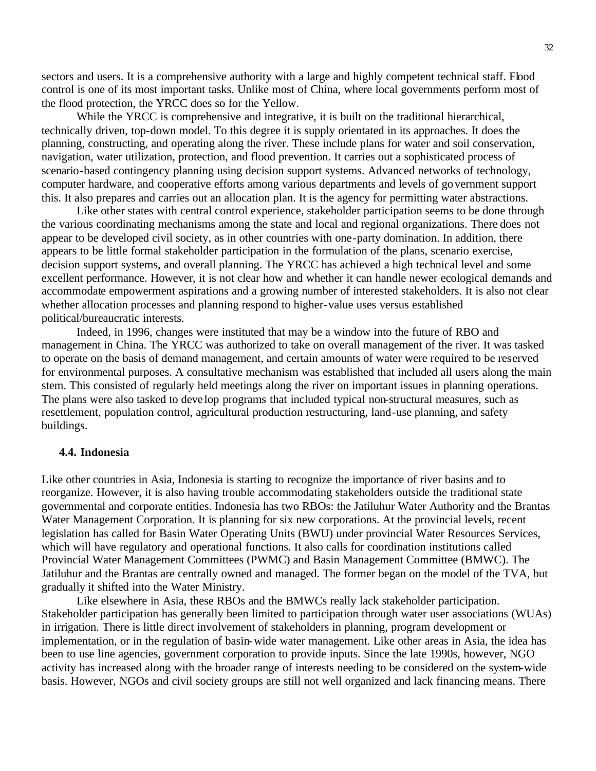sectors and users. It is a comprehensive authority with a large and highly competent technical staff. Flood control is one of its most important tasks. Unlike most of China, where local governments perform most of the flood protection, the YRCC does so for the Yellow.

While the YRCC is comprehensive and integrative, it is built on the traditional hierarchical, technically driven, top-down model. To this degree it is supply orientated in its approaches. It does the planning, constructing, and operating along the river. These include plans for water and soil conservation, navigation, water utilization, protection, and flood prevention. It carries out a sophisticated process of scenario-based contingency planning using decision support systems. Advanced networks of technology, computer hardware, and cooperative efforts among various departments and levels of government support this. It also prepares and carries out an allocation plan. It is the agency for permitting water abstractions.

Like other states with central control experience, stakeholder participation seems to be done through the various coordinating mechanisms among the state and local and regional organizations. There does not appear to be developed civil society, as in other countries with one-party domination. In addition, there appears to be little formal stakeholder participation in the formulation of the plans, scenario exercise, decision support systems, and overall planning. The YRCC has achieved a high technical level and some excellent performance. However, it is not clear how and whether it can handle newer ecological demands and accommodate empowerment aspirations and a growing number of interested stakeholders. It is also not clear whether allocation processes and planning respond to higher-value uses versus established political/bureaucratic interests.

Indeed, in 1996, changes were instituted that may be a window into the future of RBO and management in China. The YRCC was authorized to take on overall management of the river. It was tasked to operate on the basis of demand management, and certain amounts of water were required to be reserved for environmental purposes. A consultative mechanism was established that included all users along the main stem. This consisted of regularly held meetings along the river on important issues in planning operations. The plans were also tasked to deve lop programs that included typical non-structural measures, such as resettlement, population control, agricultural production restructuring, land-use planning, and safety buildings.

### **4.4. Indonesia**

Like other countries in Asia, Indonesia is starting to recognize the importance of river basins and to reorganize. However, it is also having trouble accommodating stakeholders outside the traditional state governmental and corporate entities. Indonesia has two RBOs: the Jatiluhur Water Authority and the Brantas Water Management Corporation. It is planning for six new corporations. At the provincial levels, recent legislation has called for Basin Water Operating Units (BWU) under provincial Water Resources Services, which will have regulatory and operational functions. It also calls for coordination institutions called Provincial Water Management Committees (PWMC) and Basin Management Committee (BMWC). The Jatiluhur and the Brantas are centrally owned and managed. The former began on the model of the TVA, but gradually it shifted into the Water Ministry.

Like elsewhere in Asia, these RBOs and the BMWCs really lack stakeholder participation. Stakeholder participation has generally been limited to participation through water user associations (WUAs) in irrigation. There is little direct involvement of stakeholders in planning, program development or implementation, or in the regulation of basin-wide water management. Like other areas in Asia, the idea has been to use line agencies, government corporation to provide inputs. Since the late 1990s, however, NGO activity has increased along with the broader range of interests needing to be considered on the system-wide basis. However, NGOs and civil society groups are still not well organized and lack financing means. There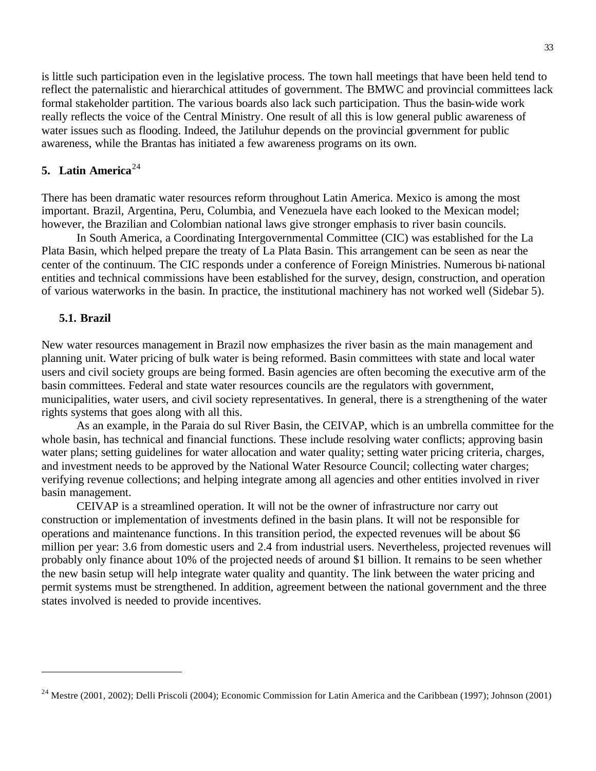is little such participation even in the legislative process. The town hall meetings that have been held tend to reflect the paternalistic and hierarchical attitudes of government. The BMWC and provincial committees lack formal stakeholder partition. The various boards also lack such participation. Thus the basin-wide work really reflects the voice of the Central Ministry. One result of all this is low general public awareness of water issues such as flooding. Indeed, the Jatiluhur depends on the provincial government for public awareness, while the Brantas has initiated a few awareness programs on its own.

## **5. Latin America**<sup>24</sup>

There has been dramatic water resources reform throughout Latin America. Mexico is among the most important. Brazil, Argentina, Peru, Columbia, and Venezuela have each looked to the Mexican model; however, the Brazilian and Colombian national laws give stronger emphasis to river basin councils.

In South America, a Coordinating Intergovernmental Committee (CIC) was established for the La Plata Basin, which helped prepare the treaty of La Plata Basin. This arrangement can be seen as near the center of the continuum. The CIC responds under a conference of Foreign Ministries. Numerous bi-national entities and technical commissions have been established for the survey, design, construction, and operation of various waterworks in the basin. In practice, the institutional machinery has not worked well (Sidebar 5).

### **5.1. Brazil**

 $\overline{a}$ 

New water resources management in Brazil now emphasizes the river basin as the main management and planning unit. Water pricing of bulk water is being reformed. Basin committees with state and local water users and civil society groups are being formed. Basin agencies are often becoming the executive arm of the basin committees. Federal and state water resources councils are the regulators with government, municipalities, water users, and civil society representatives. In general, there is a strengthening of the water rights systems that goes along with all this.

As an example, in the Paraia do sul River Basin, the CEIVAP, which is an umbrella committee for the whole basin, has technical and financial functions. These include resolving water conflicts; approving basin water plans; setting guidelines for water allocation and water quality; setting water pricing criteria, charges, and investment needs to be approved by the National Water Resource Council; collecting water charges; verifying revenue collections; and helping integrate among all agencies and other entities involved in river basin management.

CEIVAP is a streamlined operation. It will not be the owner of infrastructure nor carry out construction or implementation of investments defined in the basin plans. It will not be responsible for operations and maintenance functions. In this transition period, the expected revenues will be about \$6 million per year: 3.6 from domestic users and 2.4 from industrial users. Nevertheless, projected revenues will probably only finance about 10% of the projected needs of around \$1 billion. It remains to be seen whether the new basin setup will help integrate water quality and quantity. The link between the water pricing and permit systems must be strengthened. In addition, agreement between the national government and the three states involved is needed to provide incentives.

 $^{24}$  Mestre (2001, 2002); Delli Priscoli (2004); Economic Commission for Latin America and the Caribbean (1997); Johnson (2001)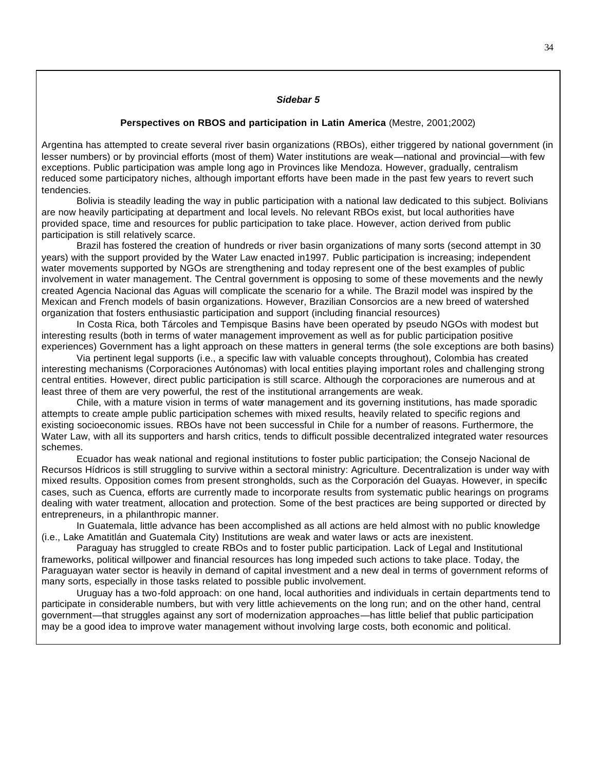#### *Sidebar 5*

#### **Perspectives on RBOS and participation in Latin America** (Mestre, 2001;2002)

Argentina has attempted to create several river basin organizations (RBOs), either triggered by national government (in lesser numbers) or by provincial efforts (most of them) Water institutions are weak—national and provincial—with few exceptions. Public participation was ample long ago in Provinces like Mendoza. However, gradually, centralism reduced some participatory niches, although important efforts have been made in the past few years to revert such tendencies.

Bolivia is steadily leading the way in public participation with a national law dedicated to this subject. Bolivians are now heavily participating at department and local levels. No relevant RBOs exist, but local authorities have provided space, time and resources for public participation to take place. However, action derived from public participation is still relatively scarce.

Brazil has fostered the creation of hundreds or river basin organizations of many sorts (second attempt in 30 years) with the support provided by the Water Law enacted in1997. Public participation is increasing; independent water movements supported by NGOs are strengthening and today represent one of the best examples of public involvement in water management. The Central government is opposing to some of these movements and the newly created Agencia Nacional das Aguas will complicate the scenario for a while. The Brazil model was inspired by the Mexican and French models of basin organizations. However, Brazilian Consorcios are a new breed of watershed organization that fosters enthusiastic participation and support (including financial resources)

In Costa Rica, both Tárcoles and Tempisque Basins have been operated by pseudo NGOs with modest but interesting results (both in terms of water management improvement as well as for public participation positive experiences) Government has a light approach on these matters in general terms (the sole exceptions are both basins)

Via pertinent legal supports (i.e., a specific law with valuable concepts throughout), Colombia has created interesting mechanisms (Corporaciones Autónomas) with local entities playing important roles and challenging strong central entities. However, direct public participation is still scarce. Although the corporaciones are numerous and at least three of them are very powerful, the rest of the institutional arrangements are weak.

Chile, with a mature vision in terms of water management and its governing institutions, has made sporadic attempts to create ample public participation schemes with mixed results, heavily related to specific regions and existing socioeconomic issues. RBOs have not been successful in Chile for a number of reasons. Furthermore, the Water Law, with all its supporters and harsh critics, tends to difficult possible decentralized integrated water resources schemes.

Ecuador has weak national and regional institutions to foster public participation; the Consejo Nacional de Recursos Hídricos is still struggling to survive within a sectoral ministry: Agriculture. Decentralization is under way with mixed results. Opposition comes from present strongholds, such as the Corporación del Guayas. However, in specific cases, such as Cuenca, efforts are currently made to incorporate results from systematic public hearings on programs dealing with water treatment, allocation and protection. Some of the best practices are being supported or directed by entrepreneurs, in a philanthropic manner.

In Guatemala, little advance has been accomplished as all actions are held almost with no public knowledge (i.e., Lake Amatitlán and Guatemala City) Institutions are weak and water laws or acts are inexistent.

Paraguay has struggled to create RBOs and to foster public participation. Lack of Legal and Institutional frameworks, political willpower and financial resources has long impeded such actions to take place. Today, the Paraguayan water sector is heavily in demand of capital investment and a new deal in terms of government reforms of many sorts, especially in those tasks related to possible public involvement.

Uruguay has a two-fold approach: on one hand, local authorities and individuals in certain departments tend to participate in considerable numbers, but with very little achievements on the long run; and on the other hand, central government—that struggles against any sort of modernization approaches—has little belief that public participation may be a good idea to improve water management without involving large costs, both economic and political.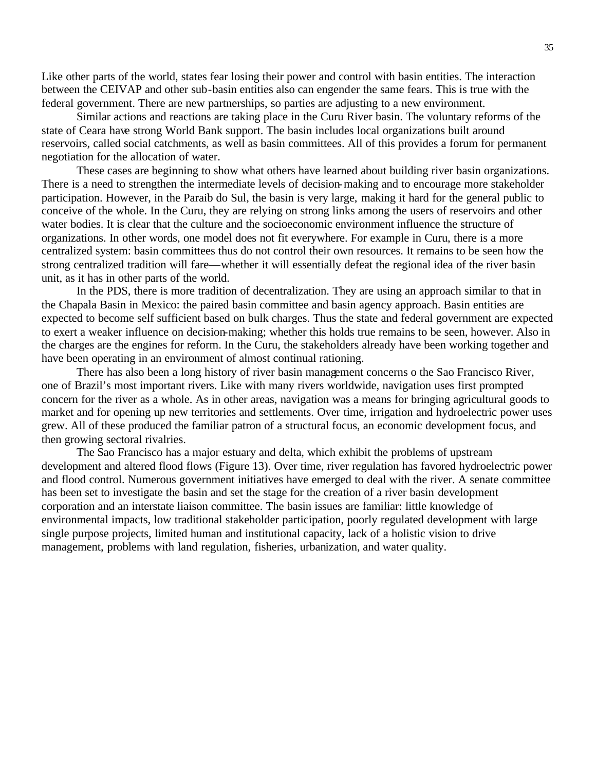Like other parts of the world, states fear losing their power and control with basin entities. The interaction between the CEIVAP and other sub-basin entities also can engender the same fears. This is true with the federal government. There are new partnerships, so parties are adjusting to a new environment.

Similar actions and reactions are taking place in the Curu River basin. The voluntary reforms of the state of Ceara have strong World Bank support. The basin includes local organizations built around reservoirs, called social catchments, as well as basin committees. All of this provides a forum for permanent negotiation for the allocation of water.

These cases are beginning to show what others have learned about building river basin organizations. There is a need to strengthen the intermediate levels of decision-making and to encourage more stakeholder participation. However, in the Paraib do Sul, the basin is very large, making it hard for the general public to conceive of the whole. In the Curu, they are relying on strong links among the users of reservoirs and other water bodies. It is clear that the culture and the socioeconomic environment influence the structure of organizations. In other words, one model does not fit everywhere. For example in Curu, there is a more centralized system: basin committees thus do not control their own resources. It remains to be seen how the strong centralized tradition will fare—whether it will essentially defeat the regional idea of the river basin unit, as it has in other parts of the world.

In the PDS, there is more tradition of decentralization. They are using an approach similar to that in the Chapala Basin in Mexico: the paired basin committee and basin agency approach. Basin entities are expected to become self sufficient based on bulk charges. Thus the state and federal government are expected to exert a weaker influence on decision-making; whether this holds true remains to be seen, however. Also in the charges are the engines for reform. In the Curu, the stakeholders already have been working together and have been operating in an environment of almost continual rationing.

There has also been a long history of river basin management concerns o the Sao Francisco River, one of Brazil's most important rivers. Like with many rivers worldwide, navigation uses first prompted concern for the river as a whole. As in other areas, navigation was a means for bringing agricultural goods to market and for opening up new territories and settlements. Over time, irrigation and hydroelectric power uses grew. All of these produced the familiar patron of a structural focus, an economic development focus, and then growing sectoral rivalries.

The Sao Francisco has a major estuary and delta, which exhibit the problems of upstream development and altered flood flows (Figure 13). Over time, river regulation has favored hydroelectric power and flood control. Numerous government initiatives have emerged to deal with the river. A senate committee has been set to investigate the basin and set the stage for the creation of a river basin development corporation and an interstate liaison committee. The basin issues are familiar: little knowledge of environmental impacts, low traditional stakeholder participation, poorly regulated development with large single purpose projects, limited human and institutional capacity, lack of a holistic vision to drive management, problems with land regulation, fisheries, urbanization, and water quality.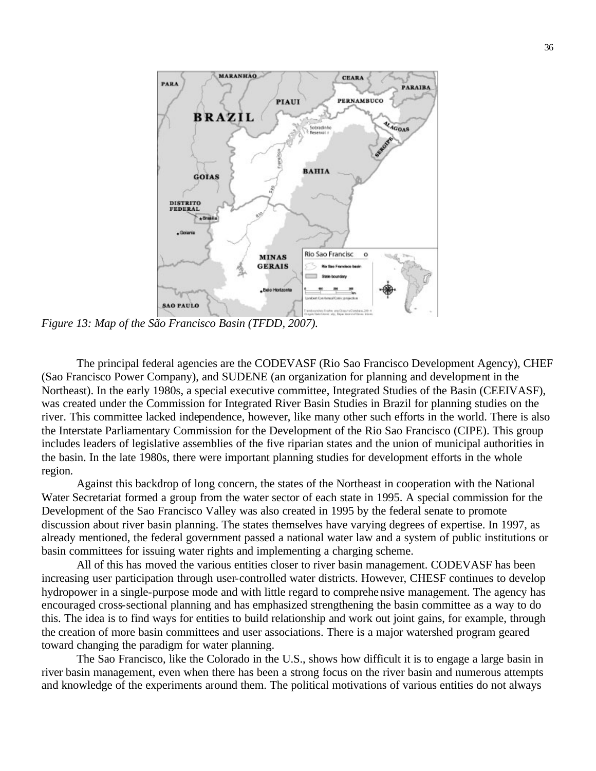

*Figure 13: Map of the São Francisco Basin (TFDD, 2007).*

The principal federal agencies are the CODEVASF (Rio Sao Francisco Development Agency), CHEF (Sao Francisco Power Company), and SUDENE (an organization for planning and development in the Northeast). In the early 1980s, a special executive committee, Integrated Studies of the Basin (CEEIVASF), was created under the Commission for Integrated River Basin Studies in Brazil for planning studies on the river. This committee lacked independence, however, like many other such efforts in the world. There is also the Interstate Parliamentary Commission for the Development of the Rio Sao Francisco (CIPE). This group includes leaders of legislative assemblies of the five riparian states and the union of municipal authorities in the basin. In the late 1980s, there were important planning studies for development efforts in the whole region.

Against this backdrop of long concern, the states of the Northeast in cooperation with the National Water Secretariat formed a group from the water sector of each state in 1995. A special commission for the Development of the Sao Francisco Valley was also created in 1995 by the federal senate to promote discussion about river basin planning. The states themselves have varying degrees of expertise. In 1997, as already mentioned, the federal government passed a national water law and a system of public institutions or basin committees for issuing water rights and implementing a charging scheme.

All of this has moved the various entities closer to river basin management. CODEVASF has been increasing user participation through user-controlled water districts. However, CHESF continues to develop hydropower in a single-purpose mode and with little regard to comprehensive management. The agency has encouraged cross-sectional planning and has emphasized strengthening the basin committee as a way to do this. The idea is to find ways for entities to build relationship and work out joint gains, for example, through the creation of more basin committees and user associations. There is a major watershed program geared toward changing the paradigm for water planning.

The Sao Francisco, like the Colorado in the U.S., shows how difficult it is to engage a large basin in river basin management, even when there has been a strong focus on the river basin and numerous attempts and knowledge of the experiments around them. The political motivations of various entities do not always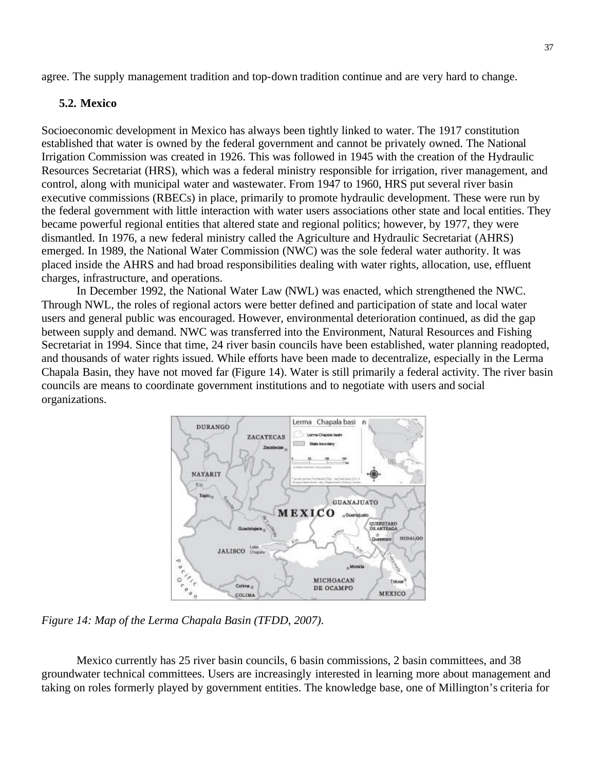agree. The supply management tradition and top-down tradition continue and are very hard to change.

### **5.2. Mexico**

Socioeconomic development in Mexico has always been tightly linked to water. The 1917 constitution established that water is owned by the federal government and cannot be privately owned. The National Irrigation Commission was created in 1926. This was followed in 1945 with the creation of the Hydraulic Resources Secretariat (HRS), which was a federal ministry responsible for irrigation, river management, and control, along with municipal water and wastewater. From 1947 to 1960, HRS put several river basin executive commissions (RBECs) in place, primarily to promote hydraulic development. These were run by the federal government with little interaction with water users associations other state and local entities. They became powerful regional entities that altered state and regional politics; however, by 1977, they were dismantled. In 1976, a new federal ministry called the Agriculture and Hydraulic Secretariat (AHRS) emerged. In 1989, the National Water Commission (NWC) was the sole federal water authority. It was placed inside the AHRS and had broad responsibilities dealing with water rights, allocation, use, effluent charges, infrastructure, and operations.

In December 1992, the National Water Law (NWL) was enacted, which strengthened the NWC. Through NWL, the roles of regional actors were better defined and participation of state and local water users and general public was encouraged. However, environmental deterioration continued, as did the gap between supply and demand. NWC was transferred into the Environment, Natural Resources and Fishing Secretariat in 1994. Since that time, 24 river basin councils have been established, water planning readopted, and thousands of water rights issued. While efforts have been made to decentralize, especially in the Lerma Chapala Basin, they have not moved far (Figure 14). Water is still primarily a federal activity. The river basin councils are means to coordinate government institutions and to negotiate with users and social organizations.



*Figure 14: Map of the Lerma Chapala Basin (TFDD, 2007).*

Mexico currently has 25 river basin councils, 6 basin commissions, 2 basin committees, and 38 groundwater technical committees. Users are increasingly interested in learning more about management and taking on roles formerly played by government entities. The knowledge base, one of Millington's criteria for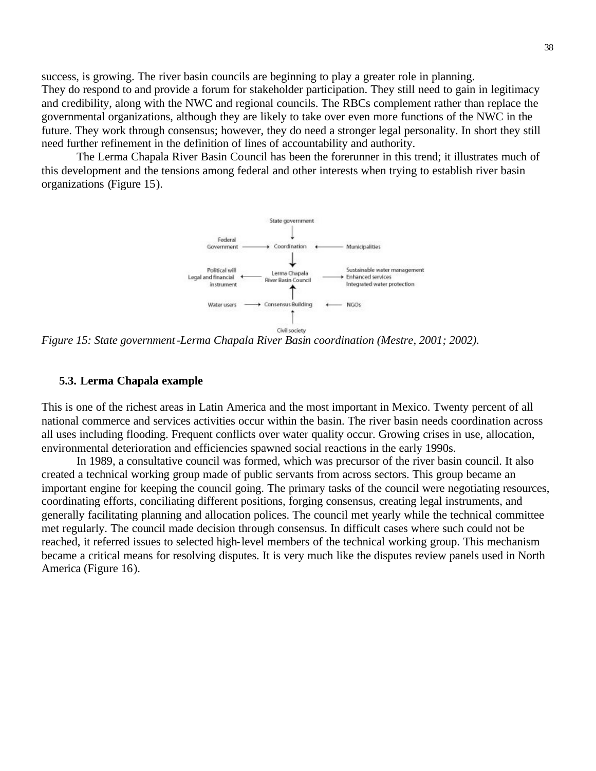success, is growing. The river basin councils are beginning to play a greater role in planning. They do respond to and provide a forum for stakeholder participation. They still need to gain in legitimacy and credibility, along with the NWC and regional councils. The RBCs complement rather than replace the governmental organizations, although they are likely to take over even more functions of the NWC in the future. They work through consensus; however, they do need a stronger legal personality. In short they still need further refinement in the definition of lines of accountability and authority.

The Lerma Chapala River Basin Council has been the forerunner in this trend; it illustrates much of this development and the tensions among federal and other interests when trying to establish river basin organizations (Figure 15).



*Figure 15: State government-Lerma Chapala River Basin coordination (Mestre, 2001; 2002).*

#### **5.3. Lerma Chapala example**

This is one of the richest areas in Latin America and the most important in Mexico. Twenty percent of all national commerce and services activities occur within the basin. The river basin needs coordination across all uses including flooding. Frequent conflicts over water quality occur. Growing crises in use, allocation, environmental deterioration and efficiencies spawned social reactions in the early 1990s.

In 1989, a consultative council was formed, which was precursor of the river basin council. It also created a technical working group made of public servants from across sectors. This group became an important engine for keeping the council going. The primary tasks of the council were negotiating resources, coordinating efforts, conciliating different positions, forging consensus, creating legal instruments, and generally facilitating planning and allocation polices. The council met yearly while the technical committee met regularly. The council made decision through consensus. In difficult cases where such could not be reached, it referred issues to selected high-level members of the technical working group. This mechanism became a critical means for resolving disputes. It is very much like the disputes review panels used in North America (Figure 16).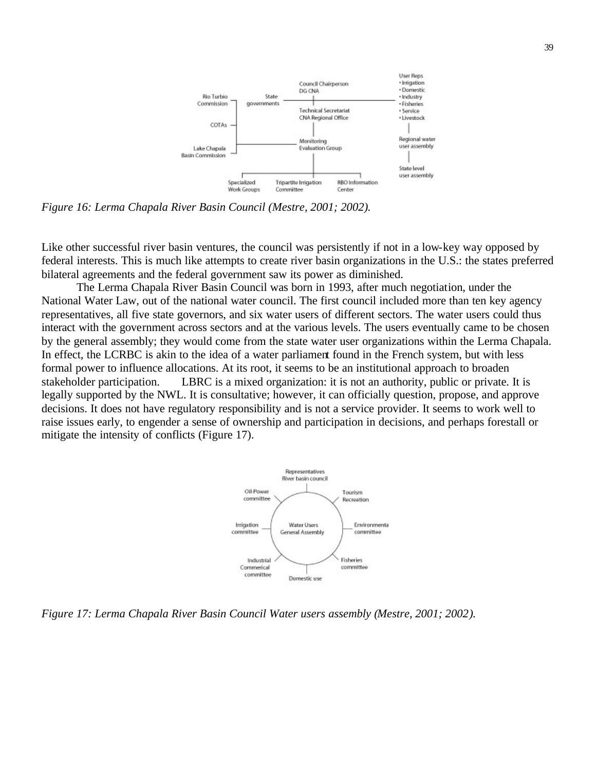

*Figure 16: Lerma Chapala River Basin Council (Mestre, 2001; 2002).*

Like other successful river basin ventures, the council was persistently if not in a low-key way opposed by federal interests. This is much like attempts to create river basin organizations in the U.S.: the states preferred bilateral agreements and the federal government saw its power as diminished.

The Lerma Chapala River Basin Council was born in 1993, after much negotiation, under the National Water Law, out of the national water council. The first council included more than ten key agency representatives, all five state governors, and six water users of different sectors. The water users could thus interact with the government across sectors and at the various levels. The users eventually came to be chosen by the general assembly; they would come from the state water user organizations within the Lerma Chapala. In effect, the LCRBC is akin to the idea of a water parliament found in the French system, but with less formal power to influence allocations. At its root, it seems to be an institutional approach to broaden stakeholder participation. LBRC is a mixed organization: it is not an authority, public or private. It is legally supported by the NWL. It is consultative; however, it can officially question, propose, and approve decisions. It does not have regulatory responsibility and is not a service provider. It seems to work well to raise issues early, to engender a sense of ownership and participation in decisions, and perhaps forestall or mitigate the intensity of conflicts (Figure 17).



*Figure 17: Lerma Chapala River Basin Council Water users assembly (Mestre, 2001; 2002).*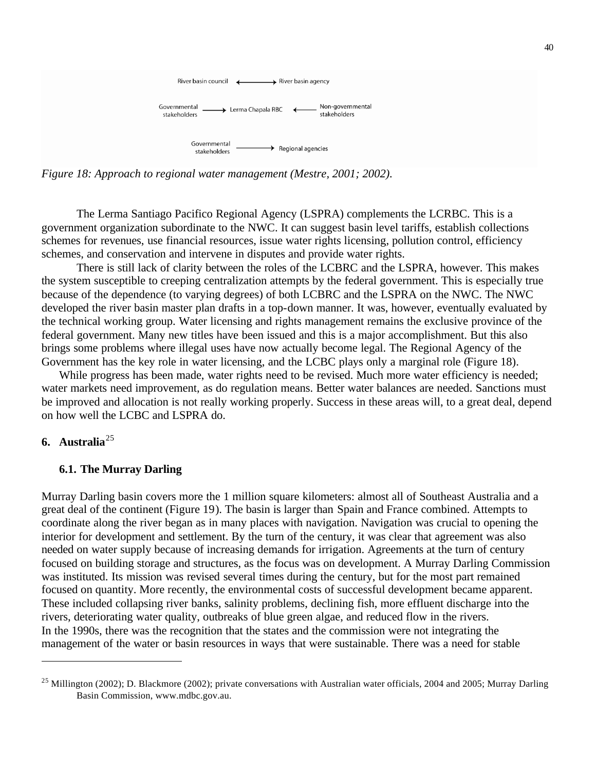

*Figure 18: Approach to regional water management (Mestre, 2001; 2002).*

The Lerma Santiago Pacifico Regional Agency (LSPRA) complements the LCRBC. This is a government organization subordinate to the NWC. It can suggest basin level tariffs, establish collections schemes for revenues, use financial resources, issue water rights licensing, pollution control, efficiency schemes, and conservation and intervene in disputes and provide water rights.

There is still lack of clarity between the roles of the LCBRC and the LSPRA, however. This makes the system susceptible to creeping centralization attempts by the federal government. This is especially true because of the dependence (to varying degrees) of both LCBRC and the LSPRA on the NWC. The NWC developed the river basin master plan drafts in a top-down manner. It was, however, eventually evaluated by the technical working group. Water licensing and rights management remains the exclusive province of the federal government. Many new titles have been issued and this is a major accomplishment. But this also brings some problems where illegal uses have now actually become legal. The Regional Agency of the Government has the key role in water licensing, and the LCBC plays only a marginal role (Figure 18).

While progress has been made, water rights need to be revised. Much more water efficiency is needed; water markets need improvement, as do regulation means. Better water balances are needed. Sanctions must be improved and allocation is not really working properly. Success in these areas will, to a great deal, depend on how well the LCBC and LSPRA do.

# **6. Australia**<sup>25</sup>

 $\overline{a}$ 

#### **6.1. The Murray Darling**

Murray Darling basin covers more the 1 million square kilometers: almost all of Southeast Australia and a great deal of the continent (Figure 19). The basin is larger than Spain and France combined. Attempts to coordinate along the river began as in many places with navigation. Navigation was crucial to opening the interior for development and settlement. By the turn of the century, it was clear that agreement was also needed on water supply because of increasing demands for irrigation. Agreements at the turn of century focused on building storage and structures, as the focus was on development. A Murray Darling Commission was instituted. Its mission was revised several times during the century, but for the most part remained focused on quantity. More recently, the environmental costs of successful development became apparent. These included collapsing river banks, salinity problems, declining fish, more effluent discharge into the rivers, deteriorating water quality, outbreaks of blue green algae, and reduced flow in the rivers. In the 1990s, there was the recognition that the states and the commission were not integrating the management of the water or basin resources in ways that were sustainable. There was a need for stable

 $^{25}$  Millington (2002); D. Blackmore (2002); private conversations with Australian water officials, 2004 and 2005; Murray Darling Basin Commission, www.mdbc.gov.au.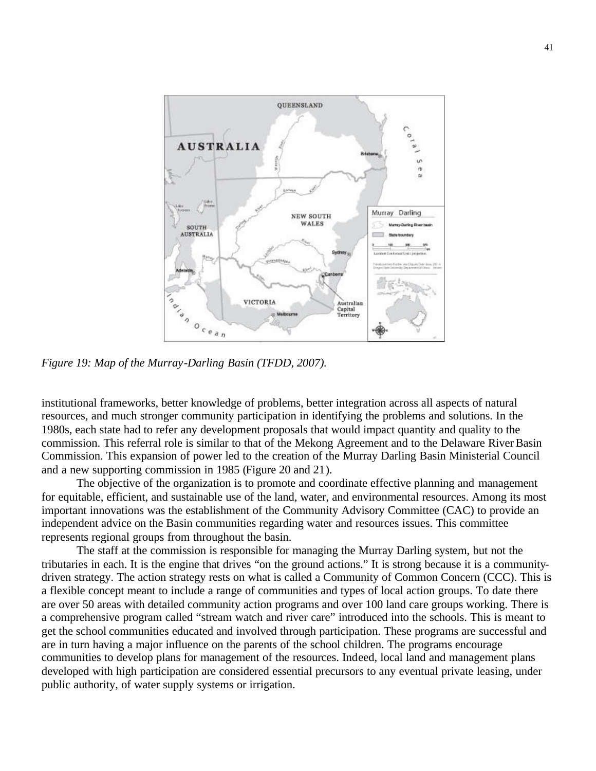

*Figure 19: Map of the Murray-Darling Basin (TFDD, 2007).*

institutional frameworks, better knowledge of problems, better integration across all aspects of natural resources, and much stronger community participation in identifying the problems and solutions. In the 1980s, each state had to refer any development proposals that would impact quantity and quality to the commission. This referral role is similar to that of the Mekong Agreement and to the Delaware River Basin Commission. This expansion of power led to the creation of the Murray Darling Basin Ministerial Council and a new supporting commission in 1985 (Figure 20 and 21).

The objective of the organization is to promote and coordinate effective planning and management for equitable, efficient, and sustainable use of the land, water, and environmental resources. Among its most important innovations was the establishment of the Community Advisory Committee (CAC) to provide an independent advice on the Basin communities regarding water and resources issues. This committee represents regional groups from throughout the basin.

The staff at the commission is responsible for managing the Murray Darling system, but not the tributaries in each. It is the engine that drives "on the ground actions." It is strong because it is a communitydriven strategy. The action strategy rests on what is called a Community of Common Concern (CCC). This is a flexible concept meant to include a range of communities and types of local action groups. To date there are over 50 areas with detailed community action programs and over 100 land care groups working. There is a comprehensive program called "stream watch and river care" introduced into the schools. This is meant to get the school communities educated and involved through participation. These programs are successful and are in turn having a major influence on the parents of the school children. The programs encourage communities to develop plans for management of the resources. Indeed, local land and management plans developed with high participation are considered essential precursors to any eventual private leasing, under public authority, of water supply systems or irrigation.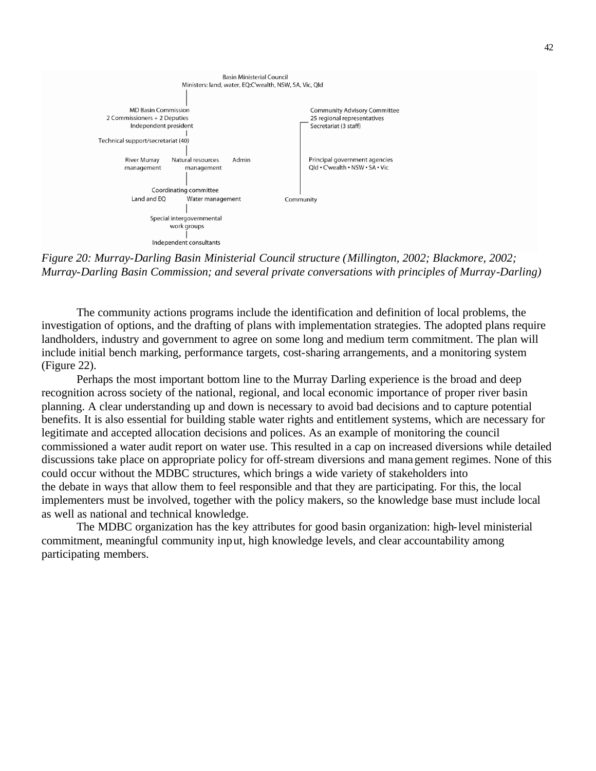

*Figure 20: Murray-Darling Basin Ministerial Council structure (Millington, 2002; Blackmore, 2002; Murray-Darling Basin Commission; and several private conversations with principles of Murray-Darling)*

The community actions programs include the identification and definition of local problems, the investigation of options, and the drafting of plans with implementation strategies. The adopted plans require landholders, industry and government to agree on some long and medium term commitment. The plan will include initial bench marking, performance targets, cost-sharing arrangements, and a monitoring system (Figure 22).

Perhaps the most important bottom line to the Murray Darling experience is the broad and deep recognition across society of the national, regional, and local economic importance of proper river basin planning. A clear understanding up and down is necessary to avoid bad decisions and to capture potential benefits. It is also essential for building stable water rights and entitlement systems, which are necessary for legitimate and accepted allocation decisions and polices. As an example of monitoring the council commissioned a water audit report on water use. This resulted in a cap on increased diversions while detailed discussions take place on appropriate policy for off-stream diversions and management regimes. None of this could occur without the MDBC structures, which brings a wide variety of stakeholders into the debate in ways that allow them to feel responsible and that they are participating. For this, the local implementers must be involved, together with the policy makers, so the knowledge base must include local as well as national and technical knowledge.

The MDBC organization has the key attributes for good basin organization: high-level ministerial commitment, meaningful community input, high knowledge levels, and clear accountability among participating members.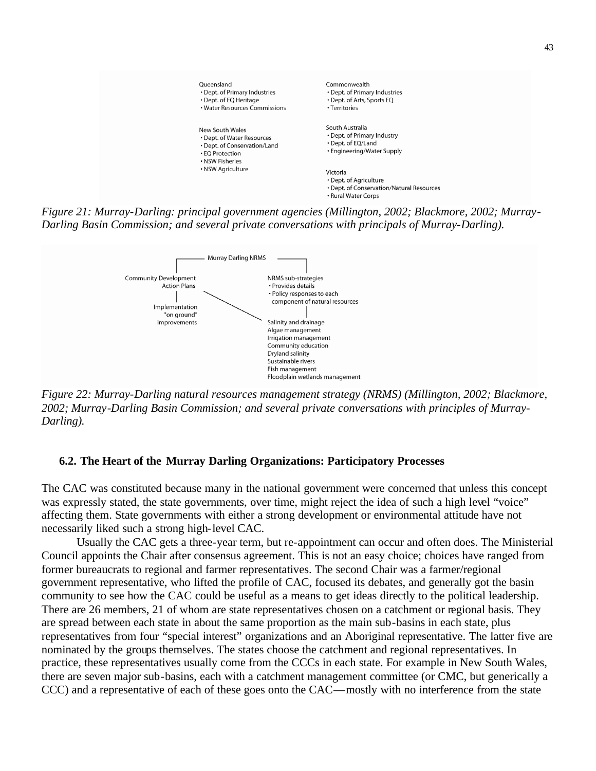

*Figure 21: Murray-Darling: principal government agencies (Millington, 2002; Blackmore, 2002; Murray-Darling Basin Commission; and several private conversations with principals of Murray-Darling).*



*Figure 22: Murray-Darling natural resources management strategy (NRMS) (Millington, 2002; Blackmore, 2002; Murray-Darling Basin Commission; and several private conversations with principles of Murray-Darling).*

### **6.2. The Heart of the Murray Darling Organizations: Participatory Processes**

The CAC was constituted because many in the national government were concerned that unless this concept was expressly stated, the state governments, over time, might reject the idea of such a high level "voice" affecting them. State governments with either a strong development or environmental attitude have not necessarily liked such a strong high-level CAC.

Usually the CAC gets a three-year term, but re-appointment can occur and often does. The Ministerial Council appoints the Chair after consensus agreement. This is not an easy choice; choices have ranged from former bureaucrats to regional and farmer representatives. The second Chair was a farmer/regional government representative, who lifted the profile of CAC, focused its debates, and generally got the basin community to see how the CAC could be useful as a means to get ideas directly to the political leadership. There are 26 members, 21 of whom are state representatives chosen on a catchment or regional basis. They are spread between each state in about the same proportion as the main sub-basins in each state, plus representatives from four "special interest" organizations and an Aboriginal representative. The latter five are nominated by the groups themselves. The states choose the catchment and regional representatives. In practice, these representatives usually come from the CCCs in each state. For example in New South Wales, there are seven major sub-basins, each with a catchment management committee (or CMC, but generically a CCC) and a representative of each of these goes onto the CAC—mostly with no interference from the state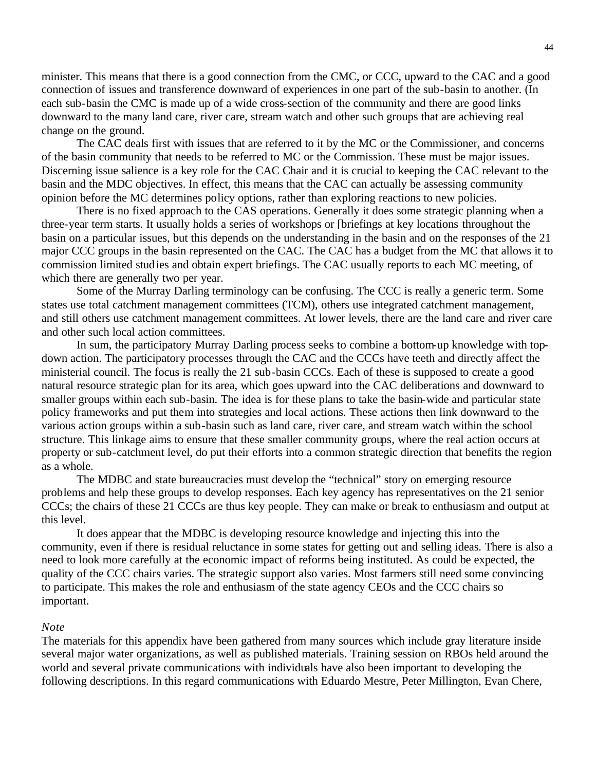minister. This means that there is a good connection from the CMC, or CCC, upward to the CAC and a good connection of issues and transference downward of experiences in one part of the sub-basin to another. (In each sub-basin the CMC is made up of a wide cross-section of the community and there are good links downward to the many land care, river care, stream watch and other such groups that are achieving real change on the ground.

The CAC deals first with issues that are referred to it by the MC or the Commissioner, and concerns of the basin community that needs to be referred to MC or the Commission. These must be major issues. Discerning issue salience is a key role for the CAC Chair and it is crucial to keeping the CAC relevant to the basin and the MDC objectives. In effect, this means that the CAC can actually be assessing community opinion before the MC determines policy options, rather than exploring reactions to new policies.

There is no fixed approach to the CAS operations. Generally it does some strategic planning when a three-year term starts. It usually holds a series of workshops or [briefings at key locations throughout the basin on a particular issues, but this depends on the understanding in the basin and on the responses of the 21 major CCC groups in the basin represented on the CAC. The CAC has a budget from the MC that allows it to commission limited studies and obtain expert briefings. The CAC usually reports to each MC meeting, of which there are generally two per year.

Some of the Murray Darling terminology can be confusing. The CCC is really a generic term. Some states use total catchment management committees (TCM), others use integrated catchment management, and still others use catchment management committees. At lower levels, there are the land care and river care and other such local action committees.

In sum, the participatory Murray Darling process seeks to combine a bottom-up knowledge with topdown action. The participatory processes through the CAC and the CCCs have teeth and directly affect the ministerial council. The focus is really the 21 sub-basin CCCs. Each of these is supposed to create a good natural resource strategic plan for its area, which goes upward into the CAC deliberations and downward to smaller groups within each sub-basin. The idea is for these plans to take the basin-wide and particular state policy frameworks and put them into strategies and local actions. These actions then link downward to the various action groups within a sub-basin such as land care, river care, and stream watch within the school structure. This linkage aims to ensure that these smaller community groups, where the real action occurs at property or sub-catchment level, do put their efforts into a common strategic direction that benefits the region as a whole.

The MDBC and state bureaucracies must develop the "technical" story on emerging resource problems and help these groups to develop responses. Each key agency has representatives on the 21 senior CCCs; the chairs of these 21 CCCs are thus key people. They can make or break to enthusiasm and output at this level.

It does appear that the MDBC is developing resource knowledge and injecting this into the community, even if there is residual reluctance in some states for getting out and selling ideas. There is also a need to look more carefully at the economic impact of reforms being instituted. As could be expected, the quality of the CCC chairs varies. The strategic support also varies. Most farmers still need some convincing to participate. This makes the role and enthusiasm of the state agency CEOs and the CCC chairs so important.

### *Note*

The materials for this appendix have been gathered from many sources which include gray literature inside several major water organizations, as well as published materials. Training session on RBOs held around the world and several private communications with individuals have also been important to developing the following descriptions. In this regard communications with Eduardo Mestre, Peter Millington, Evan Chere,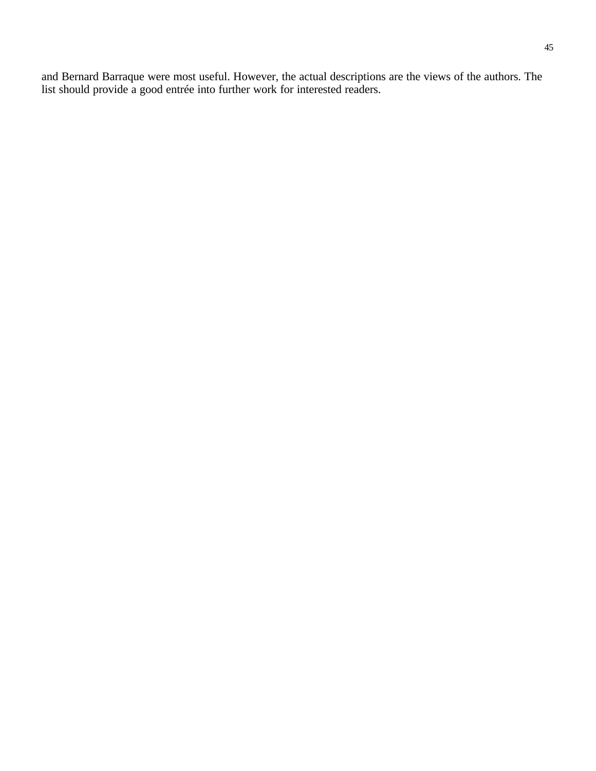and Bernard Barraque were most useful. However, the actual descriptions are the views of the authors. The list should provide a good entrée into further work for interested readers.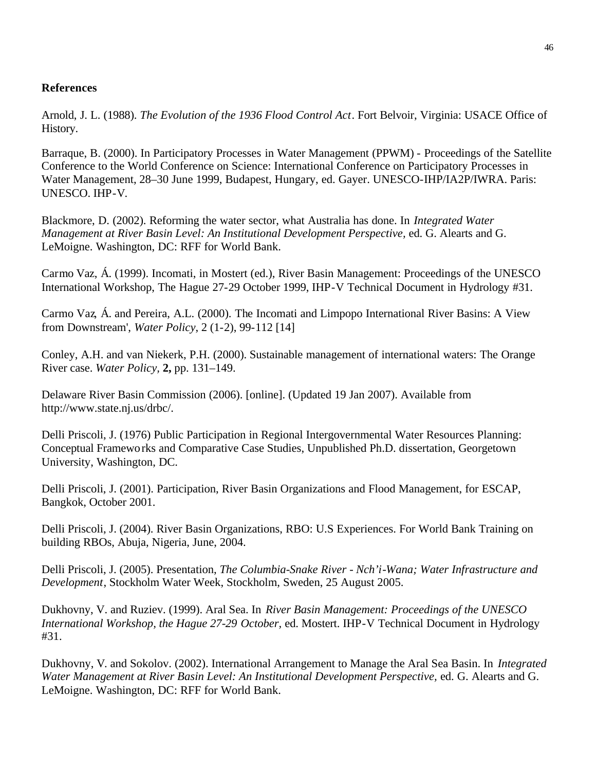## **References**

Arnold, J. L. (1988). *The Evolution of the 1936 Flood Control Act*. Fort Belvoir, Virginia: USACE Office of History.

Barraque, B. (2000). In Participatory Processes in Water Management (PPWM) - Proceedings of the Satellite Conference to the World Conference on Science: International Conference on Participatory Processes in Water Management, 28–30 June 1999, Budapest, Hungary, ed. Gayer. UNESCO-IHP/IA2P/IWRA. Paris: UNESCO. IHP-V.

Blackmore, D. (2002). Reforming the water sector, what Australia has done. In *Integrated Water Management at River Basin Level: An Institutional Development Perspective,* ed. G. Alearts and G. LeMoigne. Washington, DC: RFF for World Bank.

Carmo Vaz, Á. (1999). Incomati, in Mostert (ed.), River Basin Management: Proceedings of the UNESCO International Workshop, The Hague 27-29 October 1999, IHP-V Technical Document in Hydrology #31.

Carmo Vaz, Á. and Pereira, A.L. (2000). The Incomati and Limpopo International River Basins: A View from Downstream', *Water Policy*, 2 (1-2), 99-112 [14]

Conley, A.H. and van Niekerk, P.H. (2000). Sustainable management of international waters: The Orange River case. *Water Policy,* **2,** pp. 131–149.

Delaware River Basin Commission (2006). [online]. (Updated 19 Jan 2007). Available from http://www.state.nj.us/drbc/.

Delli Priscoli, J. (1976) Public Participation in Regional Intergovernmental Water Resources Planning: Conceptual Frameworks and Comparative Case Studies, Unpublished Ph.D. dissertation, Georgetown University, Washington, DC.

Delli Priscoli, J. (2001). Participation, River Basin Organizations and Flood Management, for ESCAP, Bangkok, October 2001.

Delli Priscoli, J. (2004). River Basin Organizations, RBO: U.S Experiences. For World Bank Training on building RBOs, Abuja, Nigeria, June, 2004.

Delli Priscoli, J. (2005). Presentation, *The Columbia-Snake River - Nch'i-Wana; Water Infrastructure and Development*, Stockholm Water Week, Stockholm, Sweden, 25 August 2005.

Dukhovny, V. and Ruziev. (1999). Aral Sea. In *River Basin Management: Proceedings of the UNESCO International Workshop, the Hague 27-29 October,* ed. Mostert. IHP-V Technical Document in Hydrology #31.

Dukhovny, V. and Sokolov. (2002). International Arrangement to Manage the Aral Sea Basin. In *Integrated Water Management at River Basin Level: An Institutional Development Perspective,* ed. G. Alearts and G. LeMoigne. Washington, DC: RFF for World Bank.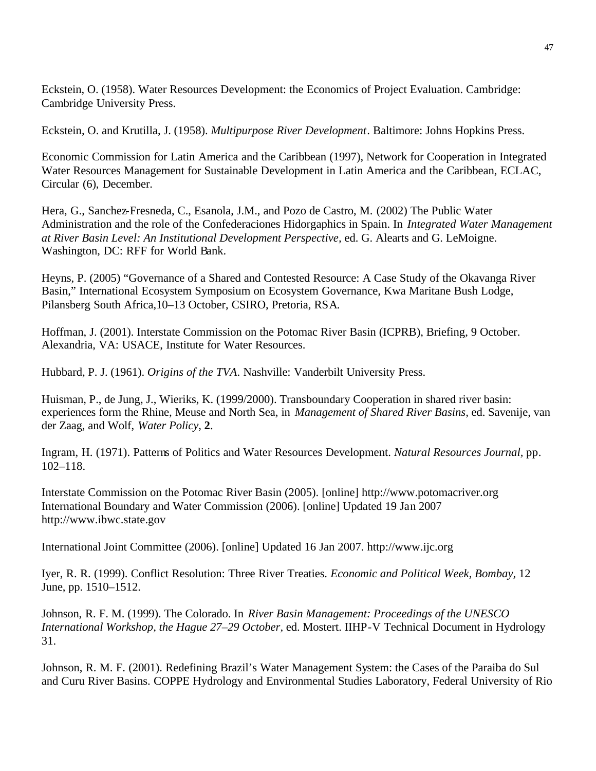Eckstein, O. (1958). Water Resources Development: the Economics of Project Evaluation. Cambridge: Cambridge University Press.

Eckstein, O. and Krutilla, J. (1958). *Multipurpose River Development*. Baltimore: Johns Hopkins Press.

Economic Commission for Latin America and the Caribbean (1997), Network for Cooperation in Integrated Water Resources Management for Sustainable Development in Latin America and the Caribbean, ECLAC, Circular (6), December.

Hera, G., Sanchez-Fresneda, C., Esanola, J.M., and Pozo de Castro, M. (2002) The Public Water Administration and the role of the Confederaciones Hidorgaphics in Spain. In *Integrated Water Management at River Basin Level: An Institutional Development Perspective,* ed. G. Alearts and G. LeMoigne. Washington, DC: RFF for World Bank.

Heyns, P. (2005) "Governance of a Shared and Contested Resource: A Case Study of the Okavanga River Basin," International Ecosystem Symposium on Ecosystem Governance, Kwa Maritane Bush Lodge, Pilansberg South Africa,10–13 October, CSIRO, Pretoria, RSA.

Hoffman, J. (2001). Interstate Commission on the Potomac River Basin (ICPRB), Briefing, 9 October. Alexandria, VA: USACE, Institute for Water Resources.

Hubbard, P. J. (1961). *Origins of the TVA*. Nashville: Vanderbilt University Press.

Huisman, P., de Jung, J., Wieriks, K. (1999/2000). Transboundary Cooperation in shared river basin: experiences form the Rhine, Meuse and North Sea, in *Management of Shared River Basins,* ed. Savenije, van der Zaag, and Wolf, *Water Policy*, **2**.

Ingram, H. (1971). Patterns of Politics and Water Resources Development. *Natural Resources Journal,* pp. 102–118.

Interstate Commission on the Potomac River Basin (2005). [online] http://www.potomacriver.org International Boundary and Water Commission (2006). [online] Updated 19 Jan 2007 http://www.ibwc.state.gov

International Joint Committee (2006). [online] Updated 16 Jan 2007. http://www.ijc.org

Iyer, R. R. (1999). Conflict Resolution: Three River Treaties. *Economic and Political Week, Bombay,* 12 June, pp. 1510–1512.

Johnson, R. F. M. (1999). The Colorado. In *River Basin Management: Proceedings of the UNESCO International Workshop, the Hague 27–29 October,* ed. Mostert. IIHP-V Technical Document in Hydrology 31.

Johnson, R. M. F. (2001). Redefining Brazil's Water Management System: the Cases of the Paraiba do Sul and Curu River Basins. COPPE Hydrology and Environmental Studies Laboratory, Federal University of Rio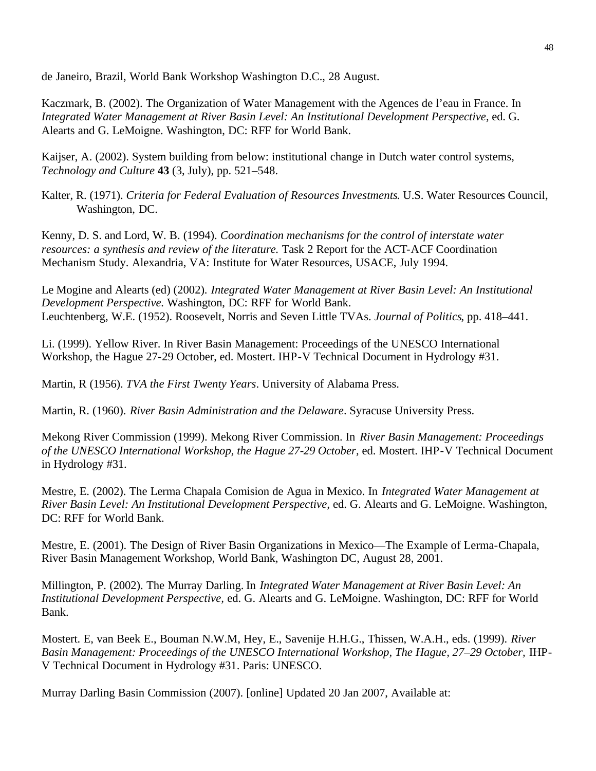de Janeiro, Brazil, World Bank Workshop Washington D.C., 28 August.

Kaczmark, B. (2002). The Organization of Water Management with the Agences de l'eau in France. In *Integrated Water Management at River Basin Level: An Institutional Development Perspective,* ed. G. Alearts and G. LeMoigne. Washington, DC: RFF for World Bank.

Kaijser, A. (2002). System building from below: institutional change in Dutch water control systems, *Technology and Culture* **43** (3, July), pp. 521–548.

Kalter, R. (1971). *Criteria for Federal Evaluation of Resources Investments*. U.S. Water Resources Council, Washington, DC.

Kenny, D. S. and Lord, W. B. (1994). *Coordination mechanisms for the control of interstate water resources: a synthesis and review of the literature.* Task 2 Report for the ACT-ACF Coordination Mechanism Study. Alexandria, VA: Institute for Water Resources, USACE, July 1994.

Le Mogine and Alearts (ed) (2002). *Integrated Water Management at River Basin Level: An Institutional Development Perspective.* Washington, DC: RFF for World Bank. Leuchtenberg, W.E. (1952). Roosevelt, Norris and Seven Little TVAs. *Journal of Politics*, pp. 418–441.

Li. (1999). Yellow River. In River Basin Management: Proceedings of the UNESCO International Workshop, the Hague 27-29 October, ed. Mostert. IHP-V Technical Document in Hydrology #31.

Martin, R (1956). *TVA the First Twenty Years*. University of Alabama Press.

Martin, R. (1960). *River Basin Administration and the Delaware*. Syracuse University Press.

Mekong River Commission (1999). Mekong River Commission. In *River Basin Management: Proceedings of the UNESCO International Workshop, the Hague 27-29 October,* ed. Mostert. IHP-V Technical Document in Hydrology #31.

Mestre, E. (2002). The Lerma Chapala Comision de Agua in Mexico. In *Integrated Water Management at River Basin Level: An Institutional Development Perspective,* ed. G. Alearts and G. LeMoigne. Washington, DC: RFF for World Bank.

Mestre, E. (2001). The Design of River Basin Organizations in Mexico—The Example of Lerma-Chapala, River Basin Management Workshop, World Bank, Washington DC, August 28, 2001.

Millington, P. (2002). The Murray Darling. In *Integrated Water Management at River Basin Level: An Institutional Development Perspective,* ed. G. Alearts and G. LeMoigne. Washington, DC: RFF for World Bank.

Mostert. E, van Beek E., Bouman N.W.M, Hey, E., Savenije H.H.G., Thissen, W.A.H., eds. (1999). *River Basin Management: Proceedings of the UNESCO International Workshop, The Hague, 27–29 October,* IHP-V Technical Document in Hydrology #31. Paris: UNESCO.

Murray Darling Basin Commission (2007). [online] Updated 20 Jan 2007, Available at: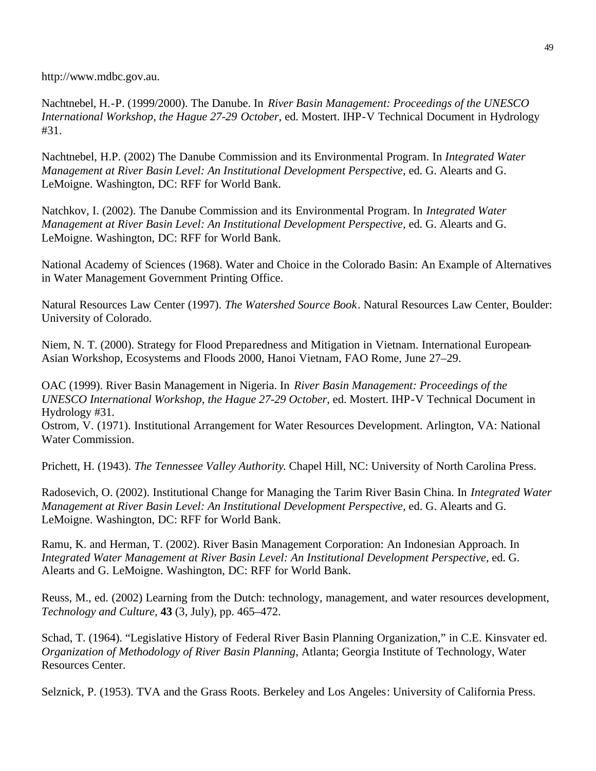http://www.mdbc.gov.au.

Nachtnebel, H.-P. (1999/2000). The Danube. In *River Basin Management: Proceedings of the UNESCO International Workshop, the Hague 27-29 October,* ed. Mostert. IHP-V Technical Document in Hydrology #31.

Nachtnebel, H.P. (2002) The Danube Commission and its Environmental Program. In *Integrated Water Management at River Basin Level: An Institutional Development Perspective,* ed. G. Alearts and G. LeMoigne. Washington, DC: RFF for World Bank.

Natchkov, I. (2002). The Danube Commission and its Environmental Program. In *Integrated Water Management at River Basin Level: An Institutional Development Perspective,* ed. G. Alearts and G. LeMoigne. Washington, DC: RFF for World Bank.

National Academy of Sciences (1968). Water and Choice in the Colorado Basin: An Example of Alternatives in Water Management Government Printing Office.

Natural Resources Law Center (1997). *The Watershed Source Book*. Natural Resources Law Center, Boulder: University of Colorado.

Niem, N. T. (2000). Strategy for Flood Preparedness and Mitigation in Vietnam. International European-Asian Workshop, Ecosystems and Floods 2000, Hanoi Vietnam, FAO Rome, June 27–29.

OAC (1999). River Basin Management in Nigeria. In *River Basin Management: Proceedings of the UNESCO International Workshop, the Hague 27-29 October,* ed. Mostert. IHP-V Technical Document in Hydrology #31.

Ostrom, V. (1971). Institutional Arrangement for Water Resources Development. Arlington, VA: National Water Commission.

Prichett, H. (1943). *The Tennessee Valley Authority*. Chapel Hill, NC: University of North Carolina Press.

Radosevich, O. (2002). Institutional Change for Managing the Tarim River Basin China. In *Integrated Water Management at River Basin Level: An Institutional Development Perspective,* ed. G. Alearts and G. LeMoigne. Washington, DC: RFF for World Bank.

Ramu, K. and Herman, T. (2002). River Basin Management Corporation: An Indonesian Approach. In *Integrated Water Management at River Basin Level: An Institutional Development Perspective,* ed. G. Alearts and G. LeMoigne. Washington, DC: RFF for World Bank.

Reuss, M., ed. (2002) Learning from the Dutch: technology, management, and water resources development, *Technology and Culture,* **43** (3, July), pp. 465–472.

Schad, T. (1964). "Legislative History of Federal River Basin Planning Organization," in C.E. Kinsvater ed. *Organization of Methodology of River Basin Planning*, Atlanta; Georgia Institute of Technology, Water Resources Center.

Selznick, P. (1953). TVA and the Grass Roots. Berkeley and Los Angeles: University of California Press.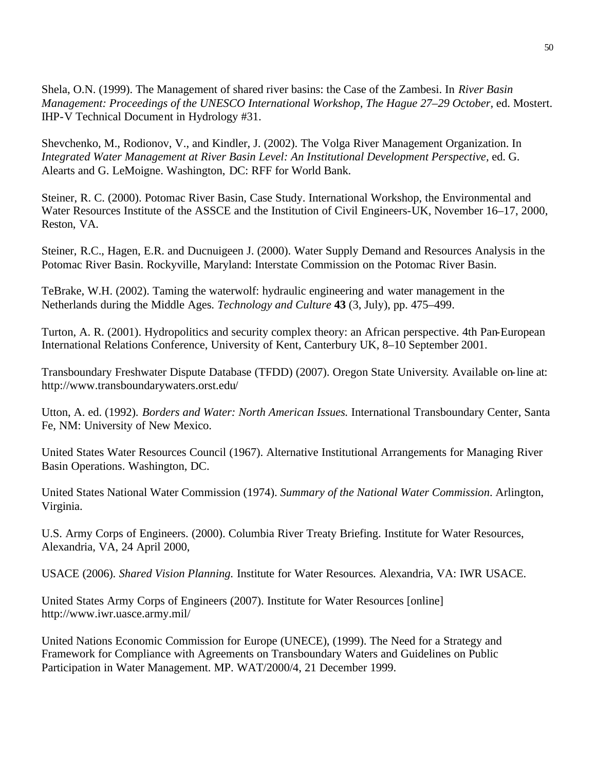Shela, O.N. (1999). The Management of shared river basins: the Case of the Zambesi. In *River Basin Management: Proceedings of the UNESCO International Workshop, The Hague 27–29 October,* ed. Mostert. IHP-V Technical Document in Hydrology #31.

Shevchenko, M., Rodionov, V., and Kindler, J. (2002). The Volga River Management Organization. In *Integrated Water Management at River Basin Level: An Institutional Development Perspective,* ed. G. Alearts and G. LeMoigne. Washington, DC: RFF for World Bank.

Steiner, R. C. (2000). Potomac River Basin, Case Study. International Workshop, the Environmental and Water Resources Institute of the ASSCE and the Institution of Civil Engineers-UK, November 16–17, 2000, Reston, VA.

Steiner, R.C., Hagen, E.R. and Ducnuigeen J. (2000). Water Supply Demand and Resources Analysis in the Potomac River Basin. Rockyville, Maryland: Interstate Commission on the Potomac River Basin.

TeBrake, W.H. (2002). Taming the waterwolf: hydraulic engineering and water management in the Netherlands during the Middle Ages. *Technology and Culture* **43** (3, July), pp. 475–499.

Turton, A. R. (2001). Hydropolitics and security complex theory: an African perspective. 4th Pan-European International Relations Conference, University of Kent, Canterbury UK, 8–10 September 2001.

Transboundary Freshwater Dispute Database (TFDD) (2007). Oregon State University. Available on-line at: http://www.transboundarywaters.orst.edu/

Utton, A. ed. (1992). *Borders and Water: North American Issues.* International Transboundary Center, Santa Fe, NM: University of New Mexico.

United States Water Resources Council (1967). Alternative Institutional Arrangements for Managing River Basin Operations. Washington, DC.

United States National Water Commission (1974). *Summary of the National Water Commission*. Arlington, Virginia.

U.S. Army Corps of Engineers. (2000). Columbia River Treaty Briefing. Institute for Water Resources, Alexandria, VA, 24 April 2000,

USACE (2006). *Shared Vision Planning.* Institute for Water Resources. Alexandria, VA: IWR USACE.

United States Army Corps of Engineers (2007). Institute for Water Resources [online] http://www.iwr.uasce.army.mil/

United Nations Economic Commission for Europe (UNECE), (1999). The Need for a Strategy and Framework for Compliance with Agreements on Transboundary Waters and Guidelines on Public Participation in Water Management. MP. WAT/2000/4, 21 December 1999.